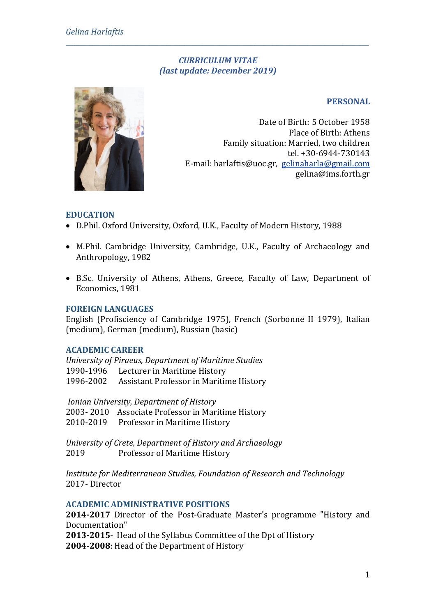### *CURRICULUM VITAE (last update: December 2019)*

*\_\_\_\_\_\_\_\_\_\_\_\_\_\_\_\_\_\_\_\_\_\_\_\_\_\_\_\_\_\_\_\_\_\_\_\_\_\_\_\_\_\_\_\_\_\_\_\_\_\_\_\_\_\_\_\_\_\_\_\_\_\_\_\_\_\_\_\_\_*

## **PERSONAL**

Date of Birth: 5 October 1958 Place of Birth: Athens Family situation: Married, two children tel. +30-6944-730143 Ε-mail: harlaftis@uoc.gr, [gelinaharla@gmail.com](mailto:gelinaharla@gmail.com) gelina@ims.forth.gr

## **EDUCATION**

- D.Phil. Oxford University, Oxford, U.K., Faculty of Modern History, 1988
- M.Phil. Cambridge University, Cambridge, U.K., Faculty of Archaeology and Anthropology, 1982
- B.Sc. University of Athens, Athens, Greece, Faculty of Law, Department of Economics, 1981

#### **FOREIGN LANGUAGES**

English (Profisciency of Cambridge 1975), French (Sorbonne II 1979), Italian (medium), German (medium), Russian (basic)

#### **ACADEMIC CAREER**

*University of Piraeus, Department of Maritime Studies* 1990-1996 Lecturer in Maritime History 1996-2002 Assistant Professor in Maritime History

*Ionian University, Department of History* 2003- 2010 Associate Professor in Maritime History 2010-2019 Professor in Maritime History

*University of Crete, Department of History and Archaeology* 2019 Professor of Maritime History

*Institute for Mediterranean Studies, Foundation of Research and Technology* 2017- Director

### **ACADEMIC ADMINISTRATIVE POSITIONS**

**2014-2017** Director of the Post-Graduate Master's programme "History and Documentation"

**2013-2015**- Head of the Syllabus Committee of the Dpt of History **2004-2008**: Head of the Department of History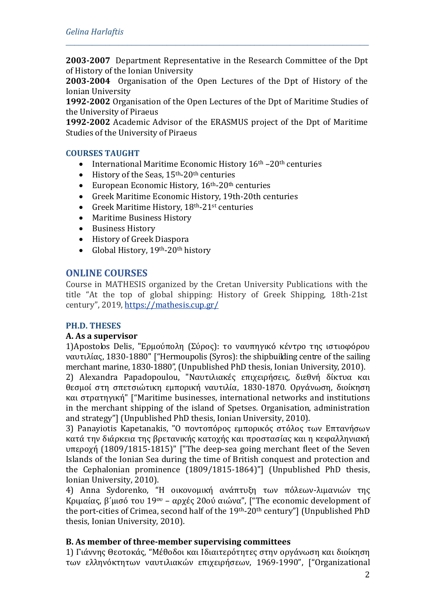**2003-2007** Department Representative in the Research Committee of the Dpt of History of the Ionian University

*\_\_\_\_\_\_\_\_\_\_\_\_\_\_\_\_\_\_\_\_\_\_\_\_\_\_\_\_\_\_\_\_\_\_\_\_\_\_\_\_\_\_\_\_\_\_\_\_\_\_\_\_\_\_\_\_\_\_\_\_\_\_\_\_\_\_\_\_\_*

**2003-2004** Organisation of the Open Lectures of the Dpt of History of the Ionian University

**1992-2002** Organisation of the Open Lectures of the Dpt of Maritime Studies of the University of Piraeus

**1992-2002** Academic Advisor of the ERASMUS project of the Dpt of Maritime Studies of the University of Piraeus

### **COURSES TAUGHT**

- International Maritime Economic History  $16<sup>th</sup> 20<sup>th</sup>$  centuries<br>• History of the Seas,  $15<sup>th</sup> 20<sup>th</sup>$  centuries
- History of the Seas,  $15<sup>th</sup>$ -20<sup>th</sup> centuries<br>• European Economic History,  $16<sup>th</sup>$ -20<sup>th</sup>
- European Economic History, 16th-20th centuries
- Greek Maritime Economic History, 19th-20th centuries<br>• Greek Maritime History.  $18^{th}$ -21<sup>st</sup> centuries
- Greek Maritime History, 18<sup>th</sup>-21<sup>st</sup> centuries<br>• Maritime Business History
- Maritime Business History
- Business History
- History of Greek Diaspora<br>• Global History, 19<sup>th</sup>-20<sup>th</sup> hi
- Global History, 19th-20th history

# **ONLINE COURSES**

Course in MATHESIS organized by the Cretan University Publications with the title "At the top of global shipping: History of Greek Shipping, 18th-21st century", 2019,<https://mathesis.cup.gr/>

### **PH.D. THESES**

### **Α. As a supervisor**

1)Apostolos Delis, "Ερμούπολη (Σύρος): το ναυπηγικό κέντρο της ιστιοφόρου ναυτιλίας, 1830-1880" ["Hermoupolis (Syros): the shipbuilding centre of the sailing merchant marine, 1830-1880", (Unpublished PhD thesis, Ionian University, 2010).

2) Alexandra Papadopoulou, "Ναυτιλιακές επιχειρήσεις, διεθνή δίκτυα και θεσμοί στη σπετσιώτικη εμπορική ναυτιλία, 1830-1870. Οργάνωση, διοίκηση και στρατηγική" ["Maritime businesses, international networks and institutions in the merchant shipping of the island of Spetses. Organisation, administration and strategy"] (Unpublished PhD thesis, Ionian University, 2010).

3) Panayiotis Kapetanakis, "Ο ποντοπόρος εμπορικός στόλος των Επτανήσων κατά την διάρκεια της βρετανικής κατοχής και προστασίας και η κεφαλληνιακή υπεροχή (1809/1815-1815)" ["The deep-sea going merchant fleet of the Seven Islands of the Ionian Sea during the time of British conquest and protection and the Cephalonian prominence (1809/1815-1864)"] (Unpublished PhD thesis, Ionian University, 2010).

4) Anna Sydorenko, "Η οικονομική ανάπτυξη των πόλεων-λιμανιών της Κριμαίας, β΄μισό του 19ου – αρχές 20ού αιώνα", ["The economic development of the port-cities of Crimea, second half of the 19th-20th century"] (Unpublished PhD thesis, Ionian University, 2010).

# **Β. As member of three-member supervising committees**

1) Γιάννης Θεοτοκάς, "Μέθοδοι και Ιδιαιτερότητες στην οργάνωση και διοίκηση των ελληνόκτητων ναυτιλιακών επιχειρήσεων, 1969-1990", ["Organizational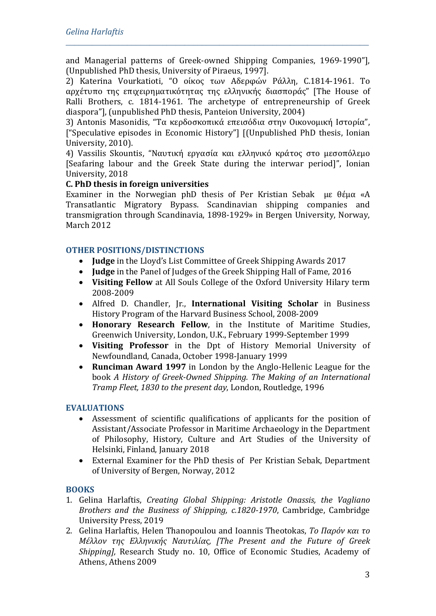and Managerial patterns of Greek-owned Shipping Companies, 1969-1990"], (Unpublished PhD thesis, University of Piraeus, 1997].

*\_\_\_\_\_\_\_\_\_\_\_\_\_\_\_\_\_\_\_\_\_\_\_\_\_\_\_\_\_\_\_\_\_\_\_\_\_\_\_\_\_\_\_\_\_\_\_\_\_\_\_\_\_\_\_\_\_\_\_\_\_\_\_\_\_\_\_\_\_*

2) Katerina Vourkatioti, "Ο οίκος των Αδερφών Ράλλη, C.1814-1961. Το αρχέτυπο της επιχειρηματικότητας της ελληνικής διασποράς" [The House of Ralli Brothers, c. 1814-1961. The archetype of entrepreneurship of Greek diaspora"], (unpublished PhD thesis, Panteion University, 2004)

3) Antonis Masonidis, "Τα κερδοσκοπικά επεισόδια στην Οικονομική Ιστορία", ["Speculative episodes in Economic History"] [(Unpublished PhD thesis, Ionian University, 2010).

4) Vassilis Skountis, "Ναυτική εργασία και ελληνικό κράτος στο μεσοπόλεμο [Seafaring labour and the Greek State during the interwar period]", Ionian University, 2018

### **C. PhD thesis in foreign universities**

Examiner in the Norwegian phD thesis of Per Kristian Sebak με θέμα «A Transatlantic Migratory Bypass. Scandinavian shipping companies and transmigration through Scandinavia, 1898-1929» in Bergen University, Norway, March 2012

## **OTHER POSITIONS/DISTINCTIONS**

- **Judge** in the Lloyd's List Committee of Greek Shipping Awards 2017
- **Judge** in the Panel of Judges of the Greek Shipping Hall of Fame, 2016
- **Visiting Fellow** at All Souls College of the Oxford University Hilary term 2008-2009
- Alfred D. Chandler, Jr., **International Visiting Scholar** in Business History Program of the Harvard Business School, 2008-2009
- **Ηonorary Research Fellow**, in the Institute of Maritime Studies, Greenwich University, London, U.K., February 1999-September 1999
- **Visiting Professor** in the Dpt of History Memorial University of Newfoundland, Canada, October 1998-January 1999
- **Runciman Award 1997** in London by the Anglo-Hellenic League for the book *Α Ηistory of Greek-Owned Shipping. The Making of an International Tramp Fleet, 1830 to the present day*, London, Routledge, 1996

### **EVALUATIONS**

- Assessment of scientific qualifications of applicants for the position of Assistant/Associate Professor in Maritime Archaeology in the Department of Philosophy, History, Culture and Art Studies of the University of Helsinki, Finland, January 2018
- External Examiner for the PhD thesis of Per Kristian Sebak, Department of University of Bergen, Norway, 2012

### **BOOKS**

- 1. Gelina Harlaftis, *Creating Global Shipping: Aristotle Onassis, the Vagliano Brothers and the Business of Shipping, c.1820-1970*, Cambridge, Cambridge University Press, 2019
- 2. Gelina Harlaftis, Helen Thanopoulou and Ioannis Theotokas, *Το Παρόν και το Μέλλον της Ελληνικής Ναυτιλίας, [The Present and the Future of Greek Shipping],* Research Study no. 10, Office of Economic Studies, Academy of Athens, Athens 2009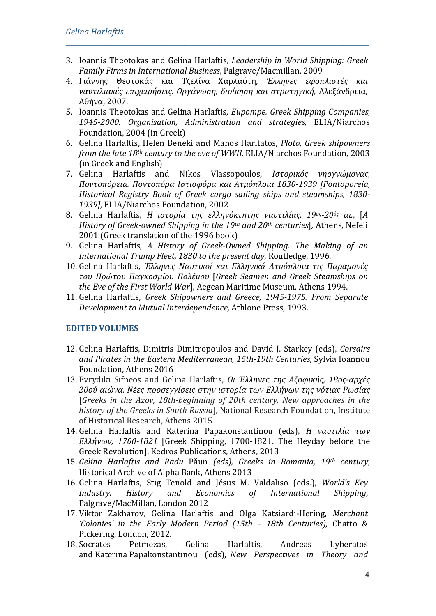3. Ioannis Theotokas and Gelina Harlaftis, *Leadership in World Shipping: Greek Family Firms in International Business*, Palgrave/Macmillan, 2009

*\_\_\_\_\_\_\_\_\_\_\_\_\_\_\_\_\_\_\_\_\_\_\_\_\_\_\_\_\_\_\_\_\_\_\_\_\_\_\_\_\_\_\_\_\_\_\_\_\_\_\_\_\_\_\_\_\_\_\_\_\_\_\_\_\_\_\_\_\_*

- 4. Γιάννης Θεοτοκάς και Τζελίνα Χαρλαύτη, *Έλληνες εφοπλιστές και ναυτιλιακές επιχειρήσεις. Οργάνωση, διοίκηση και στρατηγική,* Αλεξάνδρεια, Αθήνα, 2007.
- 5. Ioannis Theotokas and Gelina Harlaftis, *Eupompe. Greek Shipping Companies, 1945-2000. Organisation, Administration and strategies,* ELIA/Niarchos Foundation, 2004 (in Greek)
- 6. Gelina Harlaftis, Helen Beneki and Manos Haritatos, *Ploto, Greek shipowners from the late 18th century to the eve of WWII,* ELIA/Niarchos Foundation, 2003 (in Greek and English)
- 7. Gelina Harlaftis and Nikos Vlassopoulos, *Ιστορικός νηογνώμονας, Ποντοπόρεια. Ποντοπόρα Ιστιοφόρα και Ατμόπλοια 1830-1939 [Pontoporeia, Historical Registry Book of Greek cargo sailing ships and steamships, 1830- 1939],* ELIA/Niarchos Foundation, 2002
- 8. Gelina Harlaftis, *H ιστορία της ελληνόκτητης ναυτιλίας, 19ος-20ός αι.*, [*A History of Greek-owned Shipping in the 19th and 20th centuries*]*,* Athens, Nefeli 2001 (Greek translation of the 1996 book)
- 9. Gelina Harlaftis*, Α Ηistory of Greek-Owned Shipping. The Making of an International Tramp Fleet, 1830 to the present day*, Routledge, 1996.
- 10. Gelina Harlaftis, *Έλληνες Ναυτικοί και Ελληνικά Ατμόπλοια τις Παραμονές του Πρώτου Παγκοσμίου Πολέμου* [*Greek Seamen and Greek Steamships on the Eve of the First World War*], Aegean Maritime Museum, Athens 1994.
- 11. Gelina Harlaftis*, Greek Shipowners and Greece, 1945-1975. From Separate Development to Mutual Interdependence,* Athlone Press, 1993.

# **EDITED VOLUMES**

- 12. Gelina Harlaftis, Dimitris Dimitropoulos and David J. Starkey (eds), *Corsairs and Pirates in the Eastern Mediterranean, 15th-19th Centuries,* Sylvia Ioannou Foundation, Athens 2016
- 13. Evrydiki Sifneos and Gelina Harlaftis, *Οι Έλληνες της Αζοφικής, 18ος-αρχές 20ού αιώνα. Νέες προσεγγίσεις στην ιστορία των Ελλήνων της νότιας Ρωσίας* [*Greeks in the Azov, 18th-beginning of 20th century. New approaches in the history of the Greeks in South Russia*], National Research Foundation, Institute of Historical Research, Athens 2015
- 14. Gelina Harlaftis and Katerina Papakonstantinou (eds), *Η ναυτιλία των Ελλήνων, 1700-1821* [Greek Shipping, 1700-1821. The Heyday before the Greek Revolution], Kedros Publications, Athens, 2013
- 15. *Gelina Harlaftis and Radu* Pǎun *(eds), Greeks in Romania, 19th century,*  Historical Archive of Alpha Bank, Athens 2013
- 16. Gelina Harlaftis, Stig Tenold and Jésus M. Valdaliso (eds.), *World's Key International* Palgrave/MacMillan, London 2012
- 17. Viktor Zakharov, Gelina Harlaftis and Olga Katsiardi-Hering, *Merchant 'Colonies' in the Early Modern Period (15th – 18th Centuries),* Chatto & Pickering, London, 2012.<br>18. Socrates Petmezas.
- 18. Socrates Petmezas, Gelina Harlaftis, Andreas Lyberatos and Katerina Papakonstantinou (eds), *New Perspectives in Theory and*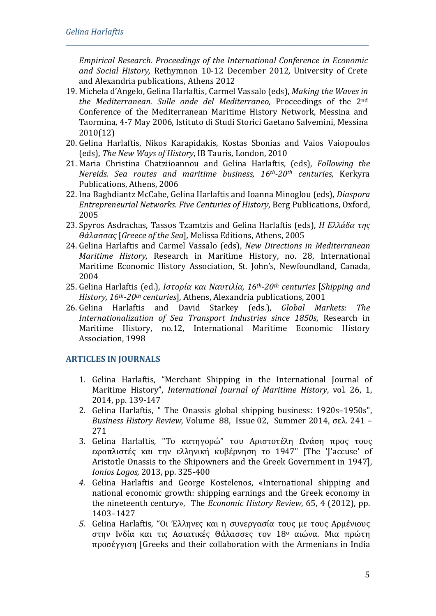*Empirical Research. Proceedings of the International Conference in Economic and Social History,* Rethymnon 10-12 December 2012*,* University of Crete and Alexandria publications, Athens 2012

*\_\_\_\_\_\_\_\_\_\_\_\_\_\_\_\_\_\_\_\_\_\_\_\_\_\_\_\_\_\_\_\_\_\_\_\_\_\_\_\_\_\_\_\_\_\_\_\_\_\_\_\_\_\_\_\_\_\_\_\_\_\_\_\_\_\_\_\_\_*

- 19. Μichela d'Angelo, Gelina Harlaftis, Carmel Vassalo (eds), *Making the Waves in the Mediterranean. Sulle onde del Mediterraneo,* Proceedings of the 2nd Conference of the Mediterranean Maritime History Network, Messina and Taormina, 4-7 May 2006, Istituto di Studi Storici Gaetano Salvemini, Messina 2010(12)
- 20. Gelina Harlaftis, Nikos Karapidakis, Kostas Sbonias and Vaios Vaiopoulos (eds), *The New Ways of History*, IB Tauris*,* London, 2010
- 21. Maria Christina Chatziioannou and Gelina Harlaftis, (eds), *Following the Nereids. Sea routes and maritime business, 16th-20th centuries,* Kerkyra Publications, Athens, 2006
- 22. Ina Baghdiantz McCabe, Gelina Harlaftis and Ioanna Minoglou (eds), *Diaspora Entrepreneurial Networks. Five Centuries of History*, Berg Publications, Oxford, 2005
- 23. Spyros Asdrachas, Tassos Tzamtzis and Gelina Harlaftis (eds), *Η Eλλάδα της Θάλασσας* [*Greece of the Sea*]*,* Melissa Editions, Athens, 2005
- 24. Gelina Harlaftis and Carmel Vassalo (eds), *New Directions in Mediterranean Maritime History,* Research in Maritime History, no. 28, International Maritime Economic History Association, St. John's, Newfoundland, Canada, 2004
- 25. Gelina Harlaftis (ed.), *Ιστορία και Ναυτιλία, 16th-20th centuries* [*Shipping and History, 16th-20th centuries*], Athens, Alexandria publications, 2001
- 26. Gelina Harlaftis and David Starkey (eds.), *Global Markets: The Internationalization of Sea Transport Industries since 1850s*, Research in Maritime History, no.12, International Maritime Economic History Association, 1998

# **ARTICLES IN JOURNALS**

- 1. Gelina Harlaftis, "Merchant Shipping in the International Journal of Maritime History", *International Journal of Maritime History*, vol. 26, 1, 2014, pp. 139-147
- 2. Gelina Harlaftis, " The Onassis global shipping business: 1920s–1950s", *[Business](http://journals.cambridge.org/action/displayJournal?jid=BHR) History Review*, [Volume](http://journals.cambridge.org/action/displayBackIssues?jid=BHR&volumeId=88) 88, [Issue](http://journals.cambridge.org/action/displayIssue?jid=BHR&volumeId=88&seriesId=0&issueId=02) 02, Summer 2014, σελ. 241 – 271
- 3. Gelina Harlaftis, "Το κατηγορώ" του Αριστοτέλη Ωνάση προς τους εφοπλιστές και την ελληνική κυβέρνηση το 1947" [The 'J'accuse' of Aristotle Onassis to the Shipowners and the Greek Government in 1947], *Ionios Logos,* 2013, pp. 325-400
- *4.* Gelina Harlaftis and George Kostelenos, [«International shipping and](http://onlinelibrary.wiley.com/doi/10.1111/j.1468-0289.2011.00628.x/abstract)  [national economic growth: shipping earnings and the Greek economy in](http://onlinelibrary.wiley.com/doi/10.1111/j.1468-0289.2011.00628.x/abstract)  [the nineteenth century»,](http://onlinelibrary.wiley.com/doi/10.1111/j.1468-0289.2011.00628.x/abstract) The *Economic History Review*, 65, 4 (2012), pp. 1403–1427
- *5.* Gelina Harlaftis, "Οι Έλληνες και η συνεργασία τους με τους Αρμένιους στην Ινδία και τις Ασιατικές Θάλασσες τον 18ο αιώνα. Μια πρώτη προσέγγιση [Greeks and their collaboration with the Armenians in India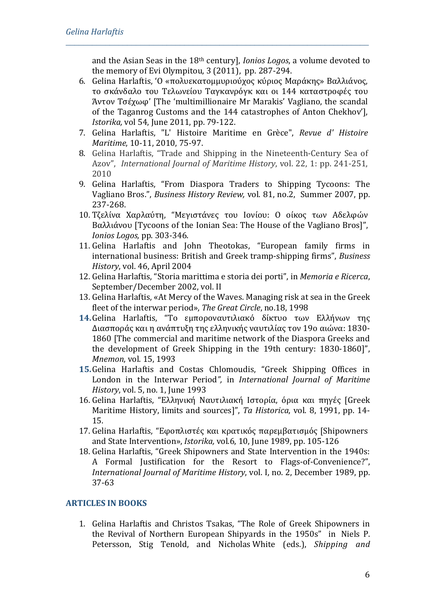and the Asian Seas in the 18th century], *Ionios Logos*, a volume devoted to the memory of Evi Olympitou, 3 (2011),pp. 287-294.

6. Gelina Harlaftis, 'Ο «πολυεκατομμυριούχος κύριος Μαράκης» Βαλλιάνος, το σκάνδαλο του Τελωνείου Ταγκανρόγκ και οι 144 καταστροφές του Άντον Τσέχωφ' [The 'multimillionaire Mr Marakis' Vagliano, the scandal of the Taganrog Customs and the 144 catastrophes of Anton Chekhov'], *Istorika,* vol 54, June 2011, pp. 79-122.

*\_\_\_\_\_\_\_\_\_\_\_\_\_\_\_\_\_\_\_\_\_\_\_\_\_\_\_\_\_\_\_\_\_\_\_\_\_\_\_\_\_\_\_\_\_\_\_\_\_\_\_\_\_\_\_\_\_\_\_\_\_\_\_\_\_\_\_\_\_*

- 7. Gelina Harlaftis, "L' Histoire Maritime en Grèce", *Revue d' Histoire Maritime*, 10-11, 2010, 75-97.
- 8. [Gelina Harlaftis,](https://journals.sagepub.com/action/doSearch?SeriesKey=&SeriesKey=ijha&AllField=Harlaftis&pageSize=20&startPage=0) "Trade and Shipping in the Nineteenth-Century Sea of Azov", *International Journal of Maritime History*, vol. 22, 1: pp. 241-251, 2010
- 9. Gelina Harlaftis, "From Diaspora Traders to Shipping Tycoons: The Vagliano Bros.", *Business History Review,* vol. 81, no.2, Summer 2007, pp. 237-268.
- 10. Τζελίνα Χαρλαύτη, "Μεγιστάνες του Ιονίου: Ο οίκος των Αδελφών Βαλλιάνου [Tycoons of the Ionian Sea: The House of the Vagliano Bros]", *Ιonios Logos,* pp. 303-346.
- 11. Gelina Harlaftis and John Theotokas, "European family firms in international business: British and Greek tramp-shipping firms", *Business History*, vol. 46, April 2004
- 12. Gelina Harlaftis, "Storia marittima e storia dei porti", in *Memoria e Ricerca*, September/December 2002, vol. II
- 13. Gelina Harlaftis, «At Mercy of the Waves. Managing risk at sea in the Greek fleet of the interwar period», *The Great Circle*, no.18, 1998
- **14.**Gelina Harlaftis, "Το εμποροναυτιλιακό δίκτυο των Ελλήνων της Διασποράς και η ανάπτυξη της ελληνικής ναυτιλίας τον 19ο αιώνα: 1830- 1860 [The commercial and maritime network of the Diaspora Greeks and the development of Greek Shipping in the 19th century: 1830-1860]", *Mnemon*, vol. 15, 1993
- **15.**Gelina Harlaftis and Costas Chlomoudis, "Greek Shipping Offices in London in the Interwar Period*",* in *International Journal of Maritime History*, vol. 5, no. 1, June 1993
- 16. Gelina Harlaftis, "Ελληνική Ναυτιλιακή Ιστορία, όρια και πηγές [Greek Maritime History, limits and sources]", *Ta Historica*, vol. 8, 1991, pp. 14- 15.
- 17. Gelina Harlaftis, "Εφοπλιστές και κρατικός παρεμβατισμός [Shipowners and State Intervention», *Istorika,* vol*.*6, 10, June 1989, pp. 105-126
- 18. Gelina Harlaftis, "Greek Shipowners and State Intervention in the 1940s: A Formal Justification for the Resort to Flags-of-Convenience?", *International Journal of Maritime History*, vol. Ι, no. 2, December 1989, pp. 37-63

# **ARTICLES IN BOOKS**

1. Gelina Harlaftis and Christos Tsakas, "The Role of Greek Shipowners in the Revival of Northern European Shipyards in the 1950s" in Niels P. Petersson, Stig Tenold, and Nicholas White (eds.), *Shipping and*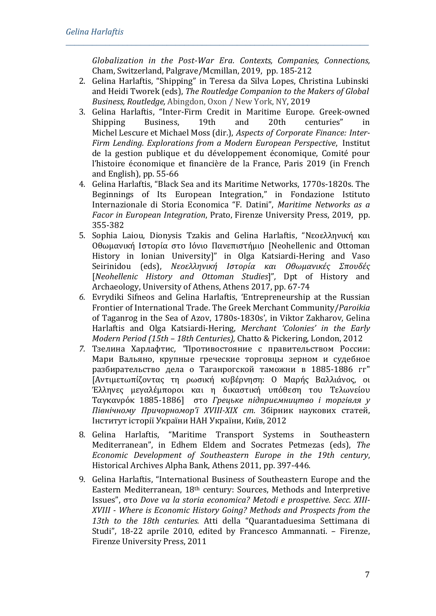*Globalization in the Post-War Era. Contexts, Companies, Connections,* Cham, Switzerland, Palgrave/Mcmillan, 2019, pp. 185-212

2. Gelina Harlaftis, "Shipping" in Teresa da Silva Lopes, Christina Lubinski and Heidi Tworek (eds), *The Routledge Companion to the Makers of Global Business, Routledge,* Abingdon, Oxon / New York, NY, 2019

- 3. Gelina Harlaftis, "Inter-Firm Credit in Maritime Europe. Greek-owned Shipping Business, 19th and 20th centuries" in Michel [Lescure](https://books.openedition.org/author?name=lescure+michel) et [Michael](https://books.openedition.org/author?name=moss+michael) Moss (dir.), *[Aspects of Corporate Finance: Inter-](https://books.openedition.org/igpde/6006)[Firm Lending.](https://books.openedition.org/igpde/6006) Explorations from a Modern European Perspective*, Institut de la gestion publique et du développement économique, Comité pour l'histoire économique et financière de la France, Paris 2019 (in French and English), pp. 55-66
- 4. Gelina Harlaftis, "Black Sea and its Maritime Networks, 1770s-1820s. The Beginnings of Its European Integration," in Fondazione Istituto Internazionale di Storia Economica "F. Datini", *Maritime Networks as a Facor in European Integration*, Prato, Firenze University Press, 2019, pp. 355-382
- 5. Sophia Laiou, Dionysis Tzakis and Gelina Harlaftis, "Νεοελληνική και Οθωμανική Iστορία στο Iόνιο Πανεπιστήμιο [Neohellenic and Ottoman History in Ionian University]" in Olga Katsiardi-Hering and Vaso Seirinidou (eds), *Νεοελληνική Ιστορία και Οθωμανικές Σπουδές* [*Neohellenic History and Ottoman Studies*]"*,* Dpt of History and Archaeology, University of Athens, Athens 2017, pp. 67-74
- *6.* Evrydiki Sifneos and Gelina Harlaftis, 'Entrepreneurship at the Russian Frontier of International Trade. The Greek Merchant Community/*Paroikia* of Taganrog in the Sea of Azov, 1780s-1830s', in Viktor Zakharov, Gelina Harlaftis and Olga Katsiardi-Hering, *Merchant 'Colonies' in the Early Modern Period (15th – 18th Centuries),* Chatto & Pickering, London, 2012
- *7.* Τзелина Харлафтиc*, "*Противостояние с правительством России: Мари Вальяно, крупные греческие торговцы зерном и судебное разбирательство дела о Таганрогской таможни в 1885-1886 гг" [Αντιμετωπίζοντας τη ρωσική κυβέρνηση: Ο Μαρής Βαλλιάνος, οι Έλληνες μεγαλέμποροι και η δικαστική υπόθεση του Τελωνείου Ταγκανρόκ 1885-1886] στο *Грецьке підприємництво і торгівля у Північному Причорномор'ї XVIII-XIX ст.* Збірник наукових статей, Інститут історії України НАН України, Київ, 2012
- 8. Gelina Harlaftis, "Maritime Transport Systems in Southeastern Mediterranean", in Edhem Eldem and Socrates Petmezas (eds), *The Economic Development of Southeastern Europe in the 19th century*, Historical Archives Alpha Bank, Athens 2011, pp. 397-446.
- 9. Gelina Harlaftis, "International Business of Southeastern Europe and the Eastern Mediterranean, 18th century: Sources, Methods and Interpretive Issues", στο *Dove va la storia economica? Metodi e prospettive. Secc. XIII-XVIII - Where is Economic History Going? Methods and Prospects from the 13th to the 18th centuries.* Atti della "Quarantaduesima Settimana di Studi", 18-22 aprile 2010, edited by Francesco Ammannati. – Firenze, Firenze University Press, 2011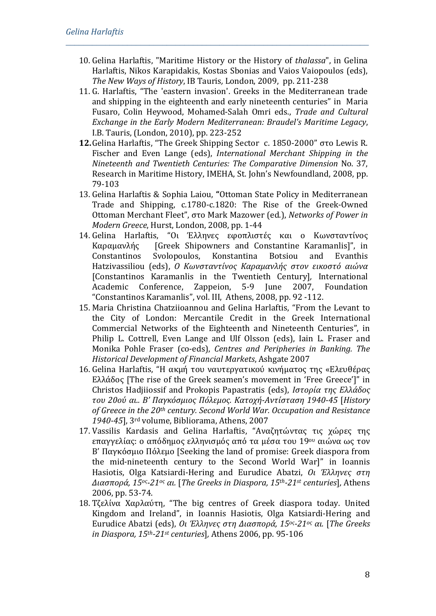10. Gelina Harlaftis, "Maritime History or the History of *thalassa*", in Gelina Harlaftis, Nikos Karapidakis, Kostas Sbonias and Vaios Vaiopoulos (eds), *The New Ways of History*, IB Tauris*,* London, 2009, pp. 211-238

- 11. G. Harlaftis, "Τhe 'eastern invasion'. Greeks in the Mediterranean trade and shipping in the eighteenth and early nineteenth centuries" in Maria Fusaro, Colin Heywood, Mohamed-Salah Omri eds., *Trade and Cultural Exchange in the Early Modern Mediterranean: Braudel's Maritime Legacy*, I.B. Tauris, (London, 2010), pp. 223-252
- **12.**Gelina Harlaftis, "Τhe Greek Shipping Sector c. 1850-2000" στο Lewis R. Fischer and Even Lange (eds), *International Merchant Shipping in the Nineteenth and Twentieth Centuries: The Comparative Dimension* [No. 37,](http://www.mun.ca/mhp/rimh-37-Contents.htm)  [Research in Maritime History, IMEHA, St. John's Newfoundland, 2008, pp.](http://www.mun.ca/mhp/rimh-37-Contents.htm)  [79-103](http://www.mun.ca/mhp/rimh-37-Contents.htm)
- 13. Gelina Harlaftis & Sophia Laiou, **"**Ottoman State Policy in Mediterranean Trade and Shipping, c.1780-c.1820: The Rise of the Greek-Owned Ottoman Merchant Fleet", στο Mark Mazower (ed.), *Networks of Power in Modern Greece*, Hurst, London, 2008, pp. 1-44<br>14. Gelina Harlaftis, "Οι Έλληνες εφοπλιστ
- Gelina Harlaftis, "Οι Έλληνες εφοπλιστές και ο Κωνσταντίνος<br>Καραμανλής (Greek Shipowners and Constantine Karamanlis]", in Καραμανλής [Greek Shipowners and Constantine Karamanlis]", in Constantinos Svolopoulos, Konstantina Botsiou and Evanthis Hatzivassiliou (eds), *Ο Κωνσταντίνος Καραμανλής στον εικοστό αιώνα* [Constantinos Karamanlis in the Twentieth Century]*,* International Zappeion, 5-9 June "Constantinos Karamanlis", vol. ΙΙΙ, Athens, 2008, pp. 92 -112.
- 15. Maria Christina Chatziioannou and Gelina Harlaftis, "From the Levant to the City of London: Mercantile Credit in the Greek International Commercial Networks of the Eighteenth and Nineteenth Centuries", in Philip L. Cottrell, Even Lange and Ulf Olsson (eds), Iain L. Fraser and Monika Pohle Fraser (co-eds), *Centres and Peripheries in Banking. The Historical Development of Financial Markets*, Ashgate 2007
- 16. Gelina Harlaftis, "Η ακμή του ναυτεργατικού κινήματος της «Ελευθέρας Ελλάδος [The rise of the Greek seamen's movement in 'Free Greece']" in Christos Hadjiiossif and Prokopis Papastratis (eds), *Ιστορία της Ελλάδος του 20ού αι.. Β' Παγκόσμιος Πόλεμος. Κατοχή-Αντίσταση 1940-45* [*History of Greece in the 20th century. Second World War. Occupation and Resistance 1940-45*], 3rd volume, Bibliorama, Athens, 2007
- 17. Vassilis Kardasis and Gelina Harlaftis, "Αναζητώντας τις χώρες της επαγγελίας: ο απόδημος ελληνισμός από τα μέσα του 19ου αιώνα ως τον Β' Παγκόσμιο Πόλεμο [Seeking the land of promise: Greek diaspora from the mid-nineteenth century to the Second World War]" in Ioannis Hasiotis, Olga Katsiardi-Hering and Eurudice Abatzi, *Οι Έλληνες στη Διασπορά, 15ος-21ος αι.* [*The Greeks in Diaspora, 15th-21st centuries*]*,* Athens 2006, pp. 53-74.
- 18. Τζελίνα Χαρλαύτη, "The big centres of Greek diaspora today. United Kingdom and Ireland", in Ioannis Hasiotis, Olga Katsiardi-Hering and Eurudice Abatzi (eds), *Οι Έλληνες στη Διασπορά, 15ος-21ος αι.* [*The Greeks in Diaspora, 15th-21st centuries*]*,* Athens 2006, pp. 95-106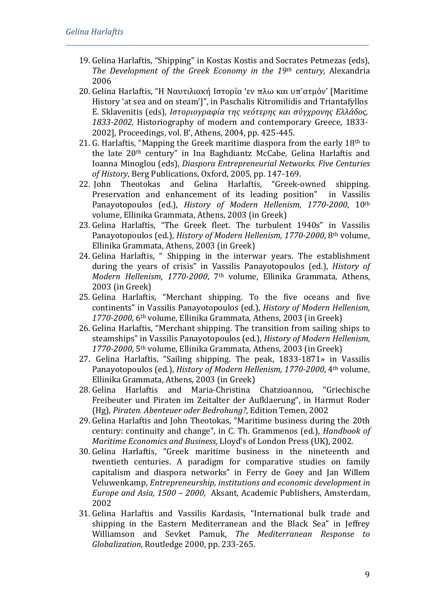19. Gelina Harlaftis, "Shipping" in Kostas Kostis and Socrates Petmezas (eds), *The Development of the Greek Economy in the 19th century,* Alexandria 2006

- 20. Gelina Harlaftis, "Η Ναυτιλιακή Ιστορία 'εν πλω και υπ'ατμόν' [Maritime History 'at sea and on steam']", in Paschalis Kitromilidis and Triantafyllos E. Sklavenitis (eds), *Ιστοριογραφία της νεότερης και σύγχρονης Ελλάδος, 1833-2002,* Historiography of modern and contemporary Greece, 1833- 2002], Proceedings, vol. Β', Athens, 2004, pp. 425-445.
- 21. G. Harlaftis, "Mapping the Greek maritime diaspora from the early  $18<sup>th</sup>$  to the late 20th century" in Ina Baghdiantz McCabe, Gelina Harlaftis and Ioanna Minoglou (eds), *Diaspora Entrepreneurial Networks. Five Centuries of History*, Berg Publications, Oxford, 2005, pp. 147-169.<br>22. John Theotokas and Gelina Harlaftis. "Greek-owned
- Theotokas and Gelina Harlaftis, "Greek-owned shipping.<br>
vation and enhancement of its leading position" in Vassilis Preservation and enhancement of its leading position" Panayotopoulos (ed.), *History of Modern Hellenism, 1770-2000*, 10th volume, Ellinika Grammata, Athens, 2003 (in Greek)
- 23. Gelina Harlaftis, "The Greek fleet. The turbulent 1940s" in Vassilis Panayotopoulos (ed.), *History of Modern Hellenism, 1770-2000*, 8th volume, Ellinika Grammata, Athens, 2003 (in Greek)
- 24. Gelina Harlaftis, " Shipping in the interwar years. The establishment during the years of crisis" in Vassilis Panayotopoulos (ed.), *History of Modern Hellenism, 1770-2000*, 7th volume, Ellinika Grammata, Athens, 2003 (in Greek)
- 25. Gelina Harlaftis, "Merchant shipping. To the five oceans and five continents" in Vassilis Panayotopoulos (ed.), *History of Modern Hellenism, 1770-2000*, 6th volume, Ellinika Grammata, Athens, 2003 (in Greek)
- 26. Gelina Harlaftis, "Merchant shipping. The transition from sailing ships to steamships" in Vassilis Panayotopoulos (ed.), *History of Modern Hellenism, 1770-2000*, 5th volume, Ellinika Grammata, Athens, 2003 (in Greek)
- 27. Gelina Harlaftis, "Sailing shipping. The peak, 1833-1871» in Vassilis Panayotopoulos (ed.), *History of Modern Hellenism, 1770-2000*, 4th volume, Ellinika Grammata, Athens, 2003 (in Greek)
- 28. Gelina Harlaftis and Maria-Christina Chatzioannou, "Griechische Freibeuter und Piraten im Zeitalter der Aufklaerung", in Harmut Roder (Hg), *Piraten. Abenteuer oder Bedrohung?*, Edition Temen, 2002
- 29. Gelina Harlaftis and John Theotokas, "Maritime business during the 20th century: continuity and change"*,* in C. Th. Grammenos (ed.), *Handbook of Maritime Economics and Business*, Lloyd's of London Press (UK), 2002.
- 30. Gelina Harlaftis, "Greek maritime business in the nineteenth and twentieth centuries. A paradigm for comparative studies on family capitalism and diaspora networks" in Ferry de Goey and Jan Willem Veluwenkamp, *Entrepreneurship, institutions and economic development in Europe and Asia, 1500 – 2000*, Aksant, Academic Publishers, Amsterdam, 2002
- 31. Gelina Harlaftis and Vassilis Kardasis, "International bulk trade and shipping in the Eastern Mediterranean and the Black Sea" in Jeffrey Williamson and Sevket Pamuk, *The Mediterranean Response to Globalization*, Routledge 2000, pp. 233-265.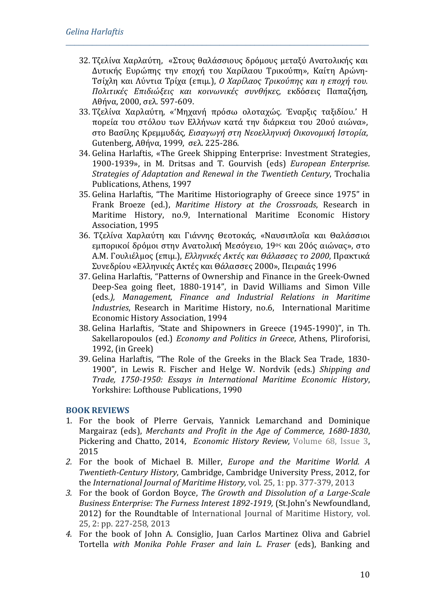32. Τζελίνα Χαρλαύτη, «Στους θαλάσσιους δρόμους μεταξύ Ανατολικής και Δυτικής Ευρώπης την εποχή του Χαρίλαου Τρικούπη», Καίτη Αρώνη-Τσίχλη και Λύντια Τρίχα (επιμ.), *Ο Χαρίλαος Τρικούπης και η εποχή του. Πολιτικές Επιδιώξεις και κοινωνικές συνθήκες*, εκδόσεις Παπαζήση, Αθήνα, 2000, σελ. 597-609.

*\_\_\_\_\_\_\_\_\_\_\_\_\_\_\_\_\_\_\_\_\_\_\_\_\_\_\_\_\_\_\_\_\_\_\_\_\_\_\_\_\_\_\_\_\_\_\_\_\_\_\_\_\_\_\_\_\_\_\_\_\_\_\_\_\_\_\_\_\_*

- 33. Τζελίνα Χαρλαύτη, «'Μηχανή πρόσω ολοταχώς. Έναρξις ταξιδίου.' Η πορεία του στόλου των Ελλήνων κατά την διάρκεια του 20ού αιώνα», στο Βασίλης Κρεμμυδάς*, Εισαγωγή στη Νεοελληνική Οικονομική Ιστορία*, Gutenberg, Αθήνα, 1999, σελ. 225-286.
- 34. Gelina Harlaftis, «The Greek Shipping Enterprise: Investment Strategies, 1900-1939», in M. Dritsas and T. Gourvish (eds) *European Enterprise. Strategies of Adaptation and Renewal in the Twentieth Century*, Trochalia Publications, Athens, 1997
- 35. Gelina Harlaftis, "Τhe Maritime Historiography of Greece since 1975" in Frank Broeze (ed.), *Maritime History at the Crossroads*, Research in Maritime History, no.9, International Maritime Economic History Association, 1995
- 36. Τζελίνα Χαρλαύτη και Γιάννης Θεοτοκάς, «Ναυσιπλοΐα και Θαλάσσιοι εμπορικοί δρόμοι στην Ανατολική Μεσόγειο, 19ος και 20ός αιώνας», στο Α.Μ. Γουλιέλμος (επιμ.), *Ελληνικές Ακτές και Θάλασσες το 2000*, Πρακτικά Συνεδρίου «Ελληνικές Ακτές και Θάλασσες 2000», Πειραιάς 1996
- 37. Gelina Harlaftis, "Patterns of Ownership and Finance in the Greek-Owned Deep-Sea going fleet, 1880-1914", in David Williams and Simon Ville (eds*.), Management, Finance and Industrial Relations in Maritime Industries*, Research in Maritime History, no.6, International Maritime Economic History Association, 1994
- 38. Gelina Harlaftis, *"*State and Shipowners in Greece (1945-1990)", in Th. Sakellaropoulos (ed.) *Economy and Politics in Greece*, Athens, Pliroforisi, 1992, (in Greek)
- 39. Gelina Harlaftis, "Τhe Role of the Greeks in the Black Sea Trade, 1830- 1900", in Lewis R. Fischer and Helge W. Nordvik (eds.) *Shipping and Trade, 1750-1950: Essays in International Maritime Economic History*, Yorkshire: Lofthouse Publications, 1990

# **BOOK REVIEWS**

- 1. For the book of PIerre Gervais, Yannick Lemarchand and Dominique Margairaz (eds), *Merchants and Profit in the Age of Commerce, 1680-1830*, Pickering and Chatto, 2014, *Economic History Review,* [Volume 68, Issue 3,](https://onlinelibrary.wiley.com/toc/14680289/68/3) 2015
- *2.* For the book of Michael B. Miller, *Europe and the Maritime World. A Twentieth-Century History*, Cambridge, Cambridge University Press, 2012, for the *International Journal of Maritime History,* vol. 25, 1: pp. 377-379, 2013
- *3.* For the book of Gordon Boyce, *The Growth and Dissolution of a Large-Scale Business Enterprise: The Furness Interest 1892-1919,* (St.John's Newfoundland, 2012) for the Roundtable of International Journal of Maritime History, vol. 25, 2: pp. 227-258, 2013
- *4.* For the book of John A. Consiglio, Juan Carlos Martinez Oliva and Gabriel Tortella *with Monika Pohle Fraser and lain L. Fraser* (eds), Banking and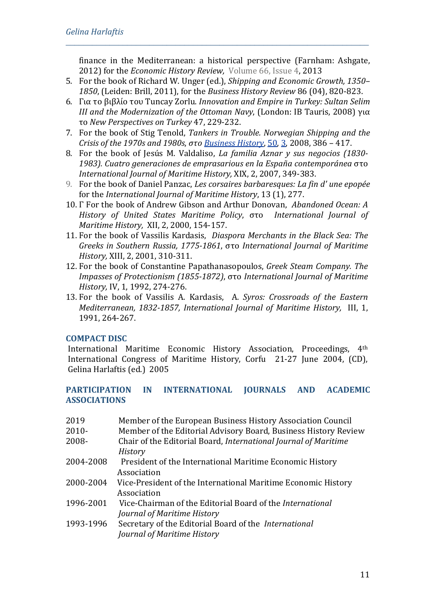finance in the Mediterranean: a historical perspective (Farnham: Ashgate, 2012) for the *Economic History Review,* [Volume 66, Issue 4,](https://onlinelibrary.wiley.com/toc/14680289/66/4) 2013

5. For the book of Richard W. Unger (ed.), *[Shipping and Economic Growth, 1350–](https://scholar.google.gr/citations?view_op=view_citation&hl=en&user=cvRavDYAAAAJ&cstart=20&citation_for_view=cvRavDYAAAAJ:mVmsd5A6BfQC) 1850*[, \(Leiden: Brill, 2011\), f](https://scholar.google.gr/citations?view_op=view_citation&hl=en&user=cvRavDYAAAAJ&cstart=20&citation_for_view=cvRavDYAAAAJ:mVmsd5A6BfQC)or the *Business History Review* 86 (04), 820-823.

*\_\_\_\_\_\_\_\_\_\_\_\_\_\_\_\_\_\_\_\_\_\_\_\_\_\_\_\_\_\_\_\_\_\_\_\_\_\_\_\_\_\_\_\_\_\_\_\_\_\_\_\_\_\_\_\_\_\_\_\_\_\_\_\_\_\_\_\_\_*

- 6. Για το βιβλίο του Tuncay Zorlu. *[Innovation and Empire in Turkey: Sultan Selim](https://scholar.google.gr/citations?view_op=view_citation&hl=en&user=cvRavDYAAAAJ&cstart=20&citation_for_view=cvRavDYAAAAJ:aqlVkmm33-oC)  [III and the Modernization of the Ottoman Navy](https://scholar.google.gr/citations?view_op=view_citation&hl=en&user=cvRavDYAAAAJ&cstart=20&citation_for_view=cvRavDYAAAAJ:aqlVkmm33-oC)*, (London: IB Tauris, 2008) για το *New Perspectives on Turkey* 47, 229-232.
- 7. For the book of Stig Tenold, *Tankers in Τrouble. Norwegian Shipping and the Crisis of the 1970s and 1980s*, *στο [Business History](http://www.informaworld.com/smpp/title%7Edb=all%7Econtent=t713634500)*, [50,](http://www.informaworld.com/smpp/title%7Edb=all%7Econtent=t713634500%7Etab=issueslist%7Ebranches=50#v50) [3,](http://www.informaworld.com/smpp/title%7Edb=all%7Econtent=g792255112) 2008, 386 – 417.
- 8. For the book of Jesús M. Valdaliso, *La familia Aznar y sus negocios (1830- 1983). Cuatro generaciones de emprasarious en la España contemporánea* στο *International Journal of Maritime History,* XIX, 2, 2007, 349-383.
- 9. For the book of Daniel Panzac, *Les corsaires barbaresques: La fin d' une epopée*  for the *International Journal of Maritime History*, 13 (1), 277.
- 10. Γ For the book of Andrew Gibson and Arthur Donovan, *Abandoned Ocean: A History of United States Maritime Policy*, στο *International Journal of Maritime History,* XII, 2, 2000, 154-157.
- 11. For the book of Vassilis Kardasis, *Diaspora Merchants in the Black Sea: The Greeks in Southern Russia, 1775-1861*, στο *International Journal of Maritime History,* XIII, 2, 2001, 310-311.
- 12. For the book of Constantine Papathanasopoulos, *Greek Steam Company. The Impasses of Protectionism (1855-1872)*, στο *International Journal of Maritime History,* IV, 1, 1992, 274-276.
- 13. For the book of Vassilis A. Kardasis, A. *Syros: Crossroads of the Eastern Mediterranean, 1832-1857, International Journal of Maritime History,* III, 1, 1991, 264-267.

# **COMPACT DISC**

International Maritime Economic History Association, Proceedings, 4th International Congress of Maritime History, Corfu 21-27 June 2004, (CD), Gelina Harlaftis (ed.) 2005

### **PARTICIPATION IN INTERNATIONAL JOURNALS AND ACADEMIC ASSOCIATIONS**

| 2019      | Member of the European Business History Association Council     |
|-----------|-----------------------------------------------------------------|
| $2010 -$  | Member of the Editorial Advisory Board, Business History Review |
| 2008-     | Chair of the Editorial Board, International Journal of Maritime |
|           | <b>History</b>                                                  |
| 2004-2008 | President of the International Maritime Economic History        |
|           | Association                                                     |
| 2000-2004 | Vice-President of the International Maritime Economic History   |
|           | Association                                                     |
| 1996-2001 | Vice-Chairman of the Editorial Board of the International       |
|           | Journal of Maritime History                                     |
| 1993-1996 | Secretary of the Editorial Board of the International           |
|           | Journal of Maritime History                                     |
|           |                                                                 |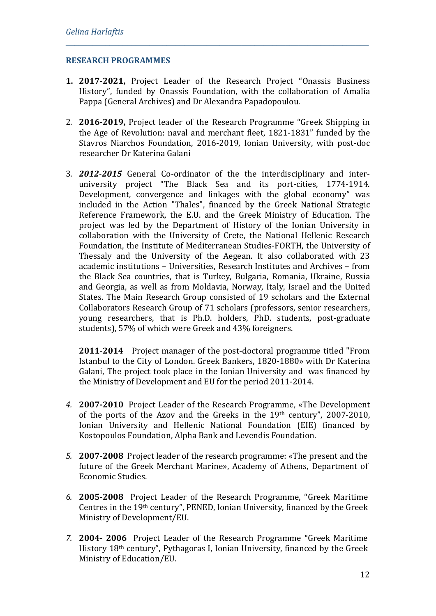#### **RESEARCH PROGRAMMES**

**1. 2017-2021,** Project Leader of the Research Project "Onassis Business History", funded by Onassis Foundation, with the collaboration of Amalia Pappa (General Archives) and Dr Alexandra Papadopoulou.

*\_\_\_\_\_\_\_\_\_\_\_\_\_\_\_\_\_\_\_\_\_\_\_\_\_\_\_\_\_\_\_\_\_\_\_\_\_\_\_\_\_\_\_\_\_\_\_\_\_\_\_\_\_\_\_\_\_\_\_\_\_\_\_\_\_\_\_\_\_*

- 2. **2016-2019,** Project leader of the Research Programme "Greek Shipping in the Age of Revolution: naval and merchant fleet, 1821-1831" funded by the Stavros Niarchos Foundation, 2016-2019, Ionian University, with post-doc researcher Dr Katerina Galani
- 3. *2012-2015* General Co-ordinator of the the interdisciplinary and interuniversity project "The Black Sea and its port-cities, 1774-1914. Development, convergence and linkages with the global economy" was included in the Action "Thales", financed by the Greek National Strategic Reference Framework, the E.U. and the Greek Ministry of Education. The project was led by the Department of History of the Ionian University in collaboration with the University of Crete, the National Hellenic Research Foundation, the Institute of Mediterranean Studies-FORTH, the University of Thessaly and the University of the Aegean. It also collaborated with 23 academic institutions – Universities, Research Institutes and Archives – from the Black Sea countries, that is Turkey, Bulgaria, Romania, Ukraine, Russia and Georgia, as well as from Moldavia, Norway, Italy, Israel and the United States. The Main Research Group consisted of 19 scholars and the External Collaborators Research Group of 71 scholars (professors, senior researchers, young researchers, that is Ph.D. holders, PhD. students, post-graduate students), 57% of which were Greek and 43% foreigners.

**2011-2014** Project manager of the post-doctoral programme titled "From Istanbul to the City of London. Greek Bankers, 1820-1880» with Dr Katerina Galani, The project took place in the Ionian University and was financed by the Ministry of Development and EU for the period 2011-2014.

- *4.* **2007-2010** Project Leader of the Research Programme, «The Development of the ports of the Azov and the Greeks in the 19th century", 2007-2010, Ionian University and Hellenic National Foundation (EIE) financed by Kostopoulos Foundation, Alpha Bank and Levendis Foundation.
- *5.* **2007-2008** Project leader of the research programme: «The present and the future of the Greek Merchant Marine», Academy of Athens, Department of Economic Studies.
- *6.* **2005-2008** Project Leader of the Research Programme, "Greek Maritime Centres in the 19th century", PENED, Ionian University, financed by the Greek Ministry of Development/EU.
- *7.* **2004- 2006** Project Leader of the Research Programme "Greek Maritime History 18th century", Pythagoras I, Ionian University, financed by the Greek Ministry of Education/EU.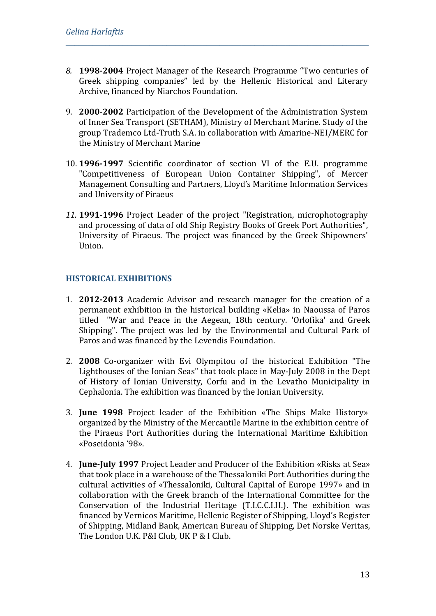*8.* **1998-2004** Project Manager of the Research Programme "Two centuries of Greek shipping companies" led by the Hellenic Historical and Literary Archive, financed by Niarchos Foundation.

*\_\_\_\_\_\_\_\_\_\_\_\_\_\_\_\_\_\_\_\_\_\_\_\_\_\_\_\_\_\_\_\_\_\_\_\_\_\_\_\_\_\_\_\_\_\_\_\_\_\_\_\_\_\_\_\_\_\_\_\_\_\_\_\_\_\_\_\_\_*

- 9. **2000-2002** Participation of the Development of the Administration System of Inner Sea Transport (SETHAM), Ministry of Merchant Marine. Study of the group Trademco Ltd-Truth S.A. in collaboration with Amarine-NEI/MERC for the Ministry of Merchant Marine
- 10. **1996-1997** Scientific coordinator of section VI of the E.U. programme "Competitiveness of European Union Container Shipping", of Mercer Management Consulting and Partners, Lloyd's Maritime Information Services and University of Piraeus
- *11.* **1991-1996** Project Leader of the project "Registration, microphotography and processing of data of old Ship Registry Books of Greek Port Authorities", University of Piraeus. The project was financed by the Greek Shipowners' Union.

### **HISTORICAL EXHIBITIONS**

- 1. **2012-2013** Academic Advisor and research manager for the creation of a permanent exhibition in the historical building «Kelia» in Naoussa of Paros titled "War and Peace in the Aegean, 18th century. 'Orlofika' and Greek Shipping". The project was led by the Environmental and Cultural Park of Paros and was financed by the Levendis Foundation.
- 2. **2008** Co-organizer with Evi Olympitou of the historical Exhibition "The Lighthouses of the Ionian Seas" that took place in May-July 2008 in the Dept of History of Ionian University, Corfu and in the Levatho Municipality in Cephalonia. The exhibition was financed by the Ionian University.
- 3. **June 1998** Project leader of the Exhibition «The Ships Make History» organized by the Ministry of the Mercantile Marine in the exhibition centre of the Piraeus Port Authorities during the International Maritime Exhibition «Poseidonia '98».
- 4. **June-July 1997** Project Leader and Producer of the Exhibition «Risks at Sea» that took place in a warehouse of the Thessaloniki Port Authorities during the cultural activities of «Thessaloniki, Cultural Capital of Europe 1997» and in collaboration with the Greek branch of the International Committee for the Conservation of the Industrial Heritage (T.I.C.C.I.H.). The exhibition was financed by Vernicos Maritime, Hellenic Register of Shipping, Lloyd's Register of Shipping, Μidland Bank, American Bureau of Shipping, Det Norske Veritas, The London U.K. P&I Club, UK P & I Club.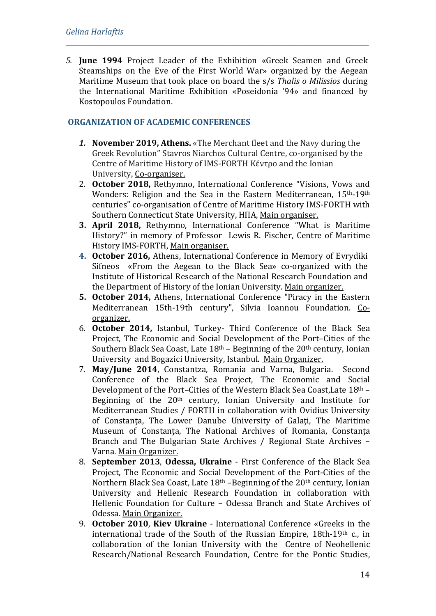*5.* **June 1994** Project Leader of the Exhibition «Greek Seamen and Greek Steamships on the Eve of the First World War» organized by the Aegean Maritime Museum that took place on board the s/s *Thalis o Milissios* during the International Maritime Exhibition «Poseidonia '94» and financed by Kostopoulos Foundation.

*\_\_\_\_\_\_\_\_\_\_\_\_\_\_\_\_\_\_\_\_\_\_\_\_\_\_\_\_\_\_\_\_\_\_\_\_\_\_\_\_\_\_\_\_\_\_\_\_\_\_\_\_\_\_\_\_\_\_\_\_\_\_\_\_\_\_\_\_\_*

## **ORGANIZATION OF ACADEMIC CONFERENCES**

- *1.* **November 2019, Athens.** «The Merchant fleet and the Navy during the Greek Revolution" Stavros Niarchos Cultural Centre, co-organised by the Centre of Maritime History of IMS-FORTH Κέντρο and the Ionian University, Co-organiser.
- 2. **October 2018,** Rethymno, International Conference "Visions, Vows and Wonders: Religion and the Sea in the Eastern Mediterranean, 15th-19th centuries" co-organisation of Centre of Maritime History IMS-FORTH with Southern Connecticut State University, ΗΠΑ, Main organiser.
- **3. April 2018,** Rethymno, International Conference "What is Maritime History?" in memory of Professor Lewis R. Fischer, Centre of Maritime History IMS-FORTH, Main organiser.
- **4. October 2016,** Athens, International Conference in Memory of Evrydiki Sifneos «From the Aegean to the Black Sea» co-organized with the Institute of Historical Research of the National Research Foundation and the Department of History of the Ionian University. Main organizer.
- **5. October 2014,** Athens, International Conference "Piracy in the Eastern Mediterranean 15th-19th century", Silvia Ioannou Foundation. Coorganizer.
- 6. **October 2014,** Istanbul, Turkey- Third Conference of the Black Sea Project, The Economic and Social Development of the Port–Cities of the Southern Black Sea Coast, Late  $18<sup>th</sup>$  – Beginning of the  $20<sup>th</sup>$  century, Ionian University and Bogazici University, Istanbul. Main Organizer.
- 7. **May/June 2014**, Constantza, Romania and Varna, Bulgaria. Second Conference of the Black Sea Project, The Economic and Social Development of the Port–Cities of the Western Black Sea Coast,Late 18th – Beginning of the 20th century, Ionian University and Institute for Mediterranean Studies / FORTH in collaboration with Ovidius University of Constanta, The Lower Danube University of Galati, The Maritime Museum of Constanta, The National Archives of Romania, Constanta Branch and The Bulgarian State Archives / Regional State Archives – Varna. Main Organizer.
- 8. **September 2013**, **Odessa, Ukraine** First Conference of the Black Sea Project, The Economic and Social Development of the Port-Cities of the Northern Black Sea Coast, Late 18<sup>th</sup> –Beginning of the 20<sup>th</sup> century, Ionian University and Hellenic Research Foundation in collaboration with Hellenic Foundation for Culture – Odessa Branch and State Archives of Odessa. Main Organizer.
- 9. **October 2010**, **Kiev Ukraine** International Conference «Greeks in the international trade of the South of the Russian Empire, 18th-19th c., in collaboration of the Ionian University with the Centre of Neohellenic Research/National Research Foundation, Centre for the Pontic Studies,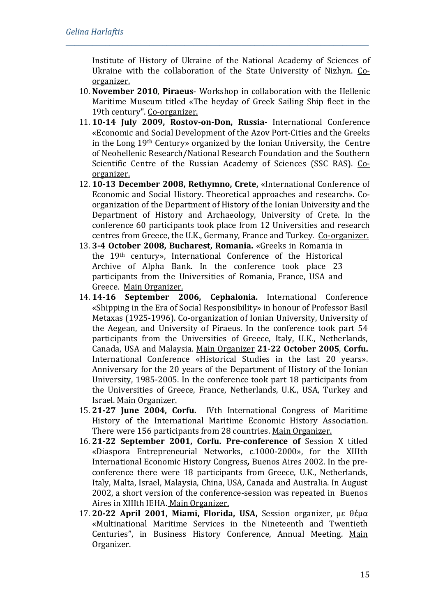Institute of History of Ukraine of the National Academy of Sciences of Ukraine with the collaboration of the State University of Nizhyn. Coorganizer.

10. **November 2010**, **Piraeus**- Workshop in collaboration with the Hellenic Maritime Museum titled «The heyday of Greek Sailing Ship fleet in the 19th century". Co-organizer.

- 11. **10-14 July 2009, Rostov-on-Don, Russia-** International Conference «Economic and Social Development of the Azov Port-Cities and the Greeks in the Long 19th Century» organized by the Ionian University, the Centre of Neohellenic Research/National Research Foundation and the Southern Scientific Centre of the Russian Academy of Sciences (SSC RAS). Coorganizer.
- 12. **10-13 December 2008, Rethymno, Crete,** «International Conference of Economic and Social History. Theoretical approaches and research». Coorganization of the Department of History of the Ionian University and the Department of History and Archaeology, University of Crete. In the conference 60 participants took place from 12 Universities and research centres from Greece, the U.K., Germany, France and Turkey. Co-organizer.
- 13. **3-4 October 2008, Bucharest, Romania.** «Greeks in Romania in the 19th century», International Conference of the Historical Archive of Alpha Bank. In the conference took place 23 participants from the Universities of Romania, France, USA and Greece. Main Organizer.
- 14. **14-16 September 2006, Cephalonia.** International Conference «Shipping in the Era of Social Responsibility» in honour of Professor Basil Metaxas (1925-1996). Co-organization of Ionian University, University of the Aegean, and University of Piraeus. In the conference took part 54 participants from the Universities of Greece, Italy, U.K., Netherlands, Canada, USA and Malaysia. Main Organizer **21-22 October 2005**, **Corfu.** International Conference «Historical Studies in the last 20 years». Anniversary for the 20 years of the Department of History of the Ionian University, 1985-2005. In the conference took part 18 participants from the Universities of Greece, France, Netherlands, U.K., USA, Turkey and Israel. Main Organizer.
- 15. **21-27 June 2004, Corfu.** IVth International Congress of Maritime History of the International Maritime Economic History Association. There were 156 participants from 28 countries. Main Organizer.
- 16. **21-22 September 2001, Corfu. Pre-conference of** Session X titled «Diaspora Entrepreneurial Networks, c.1000-2000», for the ΧΙΙΙth International Economic History Congress*,* Buenos Aires 2002. In the preconference there were 18 participants from Greece, U.K., Netherlands, Italy, Malta, Israel, Malaysia, China, USA, Canada and Australia. In August 2002, a short version of the conference-session was repeated in Buenos Aires in XIIIth ΙΕΗΑ. Main Organizer.
- 17. **20-22 April 2001, Miami, Florida, USA,** Session organizer, με θέμα «Multinational Maritime Services in the Nineteenth and Twentieth Centuries", in Business History Conference, Annual Meeting. Main Organizer.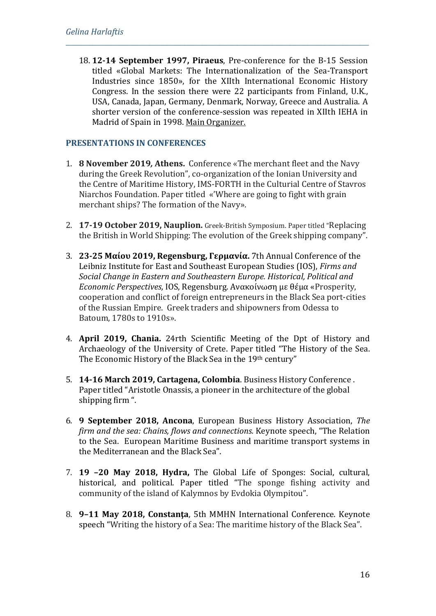18. **12-14 September 1997, Piraeus**, Pre-conference for the Β-15 Session titled «Global Markets: The Internationalization of the Sea-Transport Industries since 1850», for the ΧΙΙth International Economic History Congress. In the session there were 22 participants from Finland, U.K., USA, Canada, Japan, Germany, Denmark, Norway, Greece and Australia. A shorter version of the conference-session was repeated in XIIth IEHA in Madrid of Spain in 1998. Main Organizer.

*\_\_\_\_\_\_\_\_\_\_\_\_\_\_\_\_\_\_\_\_\_\_\_\_\_\_\_\_\_\_\_\_\_\_\_\_\_\_\_\_\_\_\_\_\_\_\_\_\_\_\_\_\_\_\_\_\_\_\_\_\_\_\_\_\_\_\_\_\_*

## **PRESENTATIONS IN CONFERENCES**

- 1. **8 November 2019***,* **Αthens.** Conference «The merchant fleet and the Navy during the Greek Revolution", co-organization of the Ionian University and the Centre of Maritime History, IMS-FORTH in the Culturial Centre of Stavros Niarchos Foundation. Paper titled «'Where are going to fight with grain merchant ships? The formation of the Navy».
- 2. **17-19 October 2019, Nauplion.** Greek-British Symposium. Paper titled "Replacing the British in World Shipping: The evolution of the Greek shipping company".
- 3. **23-25 Μαίου 2019, Regensburg, Γερμανία.** 7th Annual Conference of the Leibniz Institute for East and Southeast European Studies (IOS), *Firms and Social Change in Eastern and Southeastern Europe. Historical, Political and Economic Perspectives,* IOS, Regensburg. Ανακοίνωση με θέμα «Prosperity, cooperation and conflict of foreign entrepreneurs in the Black Sea port-cities of the Russian Empire. Greek traders and shipowners from Odessa to Batoum, 1780s to 1910s».
- 4. **April 2019, Chania.** 24rth Scientific Meeting of the Dpt of History and Archaeology of the University of Crete. Paper titled "The History of the Sea. The Economic History of the Black Sea in the 19th century"
- 5. **14-16 March 2019, Cartagena, Colombia**. Business History Conference . Paper titled "Αristotle Onassis, a pioneer in the architecture of the global shipping firm ".
- 6. **9 September 2018, Ancona**, European Business History Association, *The firm and the sea: Chains, flows and connections.* Keynote speech, "The Relation to the Sea. European Maritime Business and maritime transport systems in the Mediterranean and the Black Sea".
- 7. **19 –20 May 2018, Hydra,** The Global Life of Sponges: Social, cultural, historical, and political. Paper titled "The sponge fishing activity and community of the island of Kalymnos by Evdokia Olympitou".
- 8. **9–11 May 2018, Constanţa**, 5th MMHN International Conference. Keynote speech "Writing the history of a Sea: The maritime history of the Black Sea".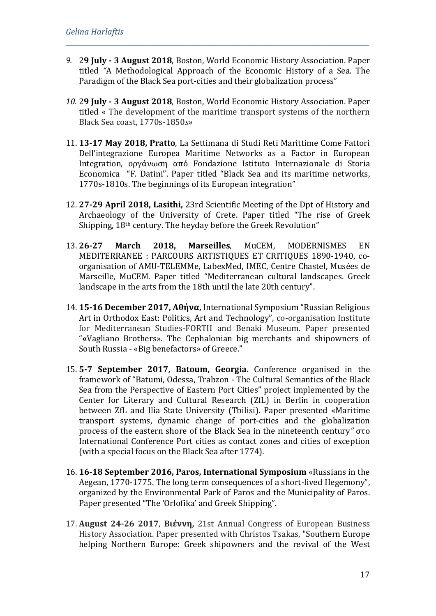*9.* 2**9 July - 3 August 2018**, Boston, World Economic History Association. Paper titled *"*A Methodological Approach of the Economic History of a Sea. The Paradigm of the Black Sea port-cities and their globalization process"

- *10.* 2**9 July - 3 August 2018**, Boston, World Economic History Association. Paper titled « The development of the maritime transport systems of the northern Black Sea coast, 1770s-1850*s»*
- 11. **13-17 May 2018, Pratto**, La Settimana di Studi Reti Marittime Come Fattori Dell'integrazione Europea Maritime Networks as a Factor in European Integration, οργάνωση από Fondazione Istituto Internazionale di Storia Economica "F. Datini". Paper titled "Black Sea and its maritime networks, 1770s-1810s. The beginnings of its European integration"
- 12. **27-29 April 2018, Lasithi,** 23rd Scientific Meeting of the Dpt of History and Archaeology of the University of Crete. Paper titled "The rise of Greek Shipping, 18th century. The heyday before the Greek Revolution"
- 13. **26-27 March 2018, Marseilles**, MuCEM, MODERNISMES EN MEDITERRANEE : PARCOURS ARTISTIQUES ET CRITIQUES 1890-1940, coorganisation of AMU-TELEMMe, LabexMed, IMEC, Centre Chastel, Musées de Marseille, MuCEM. Paper titled "Mediterranean cultural landscapes. Greek landscape in the arts from the 18th until the late 20th century".
- 14. **15-16 December 2017, Αθήνα,** International Symposium "Russian Religious Art in Orthodox East: Politics, Art and Technology", co-organisation Institute for Mediterranean Studies-FORTH and Benaki Museum. Paper presented "**«**Vagliano Brothers». Τhe Cephalonian big merchants and shipowners of South Russia - «Big benefactors» of Greece."
- 15. **5-7 September 2017, Batoum, Georgia.** Conference organised in the framework of "Batumi, Odessa, Trabzon - The Cultural Semantics of the Black Sea from the Perspective of Eastern Port Cities" project implemented by the Center for Literary and Cultural Research (ZfL) in Berlin in cooperation between ZfL and Ilia State University (Tbilisi). Paper presented «Maritime transport systems, dynamic change of port-cities and the globalization process of the eastern shore of the Black Sea in the nineteenth century*"* στο International Conference Port cities as contact zones and cities of exception (with a special focus on the Black Sea after 1774).
- 16. **16-18 September 2016, Paros, International Symposium** «Russians in the Aegean, 1770-1775. The long term consequences of a short-lived Hegemony", organized by the Environmental Park of Paros and the Municipality of Paros. Paper presented "The 'Orlofika' and Greek Shipping".
- 17. **August 24-26 2017**, **Βιέννη,** 21st Annual Congress of European Business History Association. Paper presented with Christos Tsakas, "Southern Europe helping Northern Europe: Greek shipowners and the revival of the West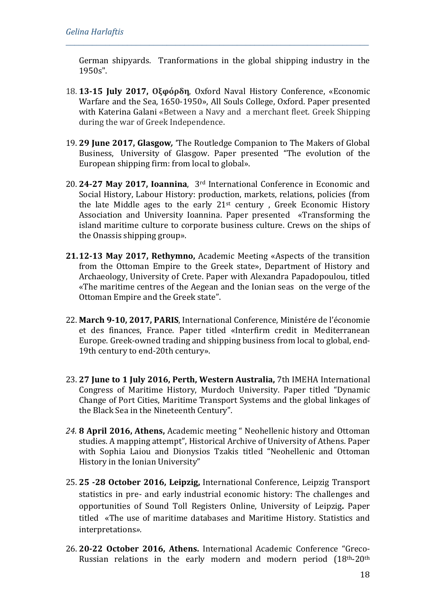German shipyards. Tranformations in the global shipping industry in the 1950s".

- 18. **13-15 July 2017, Οξφόρδη**, Oxford Naval History Conference, «Economic Warfare and the Sea, 1650-1950», All Souls College, Oxford. Paper presented with Katerina Galani «Between a Navy and a merchant fleet. Greek Shipping during the war of Greek Independence.
- 19. **29 June 2017, Glasgow***,* 'The Routledge Companion to The Makers of Global Business, University of Glasgow. Paper presented "The evolution of the European shipping firm: from local to global».
- 20. **24-27 May 2017, Ioannina**, 3rd International Conference in Economic and Social History, Labour History: production, markets, relations, policies (from the late Middle ages to the early  $21^{st}$  century, Greek Economic History Association and University Ioannina. Paper presented «Transforming the island maritime culture to corporate business culture. Crews on the ships of the Onassis shipping group».
- **21.12-13 May 2017, Rethymno,** Academic Meeting «Aspects of the transition from the Ottoman Empire to the Greek state», Department of History and Archaeology, University of Crete. Paper with Alexandra Papadopoulou, titled «The maritime centres of the Aegean and the Ionian seas on the verge of the Ottoman Empire and the Greek state".
- 22. **March 9-10, 2017, PARIS**, International Conference, Ministére de l'économie et des finances, France. Paper titled «Ιnterfirm credit in Μediterranean Εurope. Greek-owned trading and shipping business from local to global, end-19th century to end-20th century».
- 23. **27 June to 1 July 2016, Perth, Western Australia,** 7th IMEHA International Congress of Maritime History, Murdoch University. Paper titled "Dynamic Change of Port Cities, Maritime Transport Systems and the global linkages of the Black Sea in the Nineteenth Century".
- *24.* **8 April 2016, Athens,** Academic meeting " Neohellenic history and Ottoman studies. A mapping attempt", Historical Archive of University of Athens. Paper with Sophia Laiou and Dionysios Tzakis titled "Neohellenic and Ottoman History in the Ionian University"
- 25. **25 -28 October 2016, Leipzig,** International Conference, Leipzig Transport statistics in pre- and early industrial economic history: The challenges and opportunities of Sound Toll Registers Online, University of Leipzig**.** Paper titled «The use of maritime databases and Maritime History. Statistics and interpretations*».*
- 26. **20-22 October 2016, Athens.** International Academic Conference "Greco-Russian relations in the early modern and modern period (18th-20th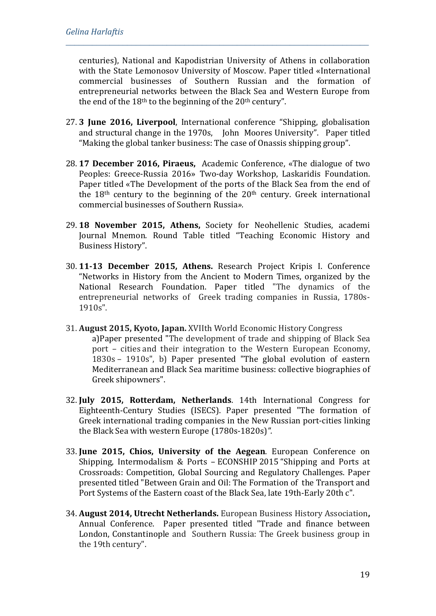centuries), National and Kapodistrian University of Athens in collaboration with the State Lemonosov University of Moscow. Paper titled «International commercial businesses of Southern Russian and the formation of entrepreneurial networks between the Black Sea and Western Europe from the end of the  $18<sup>th</sup>$  to the beginning of the  $20<sup>th</sup>$  century".

- 27. **3 June 2016, Liverpool**, Ιnternational conference "Shipping, globalisation and structural change in the 1970s, John Moores University". Paper titled "Making the global tanker business: The case of Onassis shipping group".
- 28. **17 December 2016, Piraeus,** Academic Conference, «The dialogue of two Peoples: Greece-Russia 2016» Two-day Workshop, Laskaridis Foundation. Paper titled «The Development of the ports of the Black Sea from the end of the  $18<sup>th</sup>$  century to the beginning of the  $20<sup>th</sup>$  century. Greek international commercial businesses of Southern Russia*».*
- 29. **18 November 2015, Athens,** Society for Neohellenic Studies, academi Journal Mnemon. Round Table titled "Teaching Economic History and Business History".
- 30. **11-13 December 2015, Athens.** Research Project Kripis I. Conference "Networks in History from the Ancient to Modern Times, organized by the National Research Foundation. Paper titled "The dynamics of the entrepreneurial networks of Greek trading companies in Russia, 1780s-1910s".
- 31. **August 2015, Kyoto, Japan.** XVIIth World Economic History Congress a)Paper presented "The development of trade and shipping of Black Sea port – cities and their integration to the Western European Economy, 1830s – 1910s", b) Paper presented "The global evolution of eastern Mediterranean and Black Sea maritime business: collective biographies of Greek shipowners".
- 32. **July 2015, Rotterdam, Netherlands**. 14th International Congress for Eighteenth-Century Studies (ISECS). Paper presented "The formation of Greek international trading companies in the New Russian port-cities linking the Black Sea with western Europe (1780s-1820s)*".*
- 33. **June 2015, Chios, University of the Aegean**. European Conference on Shipping, Intermodalism & Ports – ECONSHIP 2015 "Shipping and Ports at Crossroads: Competition, Global Sourcing and Regulatory Challenges. Paper presented titled "Between Grain and Oil: The Formation of the Transport and Port Systems of the Eastern coast of the Black Sea, late 19th-Early 20th c".
- 34. **August 2014, Utrecht Netherlands.** European Business History Association**,**  Annual Conference. Paper presented titled "Trade and finance between London, Constantinople and Southern Russia: The Greek business group in the 19th century".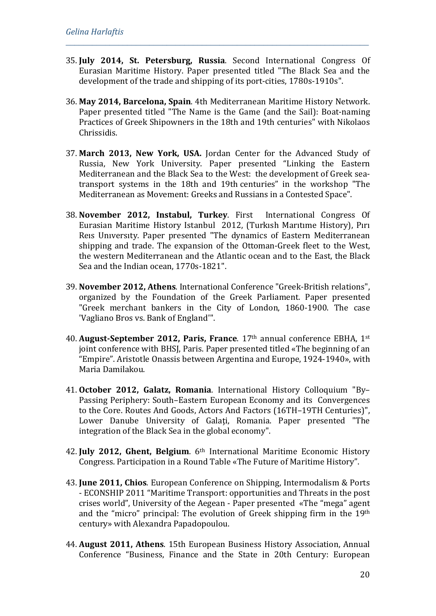35. **July 2014, St. Petersburg, Russia**. Second International Congress Of Eurasian Maritime History. Paper presented titled "The Black Sea and the development of the trade and shipping of its port-cities, 1780s-1910s".

- 36. **May 2014, Barcelona, Spain**. 4th Mediterranean Maritime History Network. Paper presented titled "The Name is the Game (and the Sail): Boat-naming Practices of Greek Shipowners in the 18th and 19th centuries" with Nikolaos Chrissidis.
- 37. **March 2013, New York, USA.** Jordan Center for the Advanced Study of Russia, New York University. Paper presented "Linking the Eastern Mediterranean and the Black Sea to the West: the development of Greek seatransport systems in the 18th and 19th centuries" in the workshop "The Mediterranean as Movement: Greeks and Russians in a Contested Space".
- 38. **November 2012, Instabul, Turkey**. First International Congress Of Eurasian Maritime History Istanbul 2012, (Turkısh Marıtıme History), Pırı Reıs Unıversıty. Paper presented "The dynamics of Eastern Mediterranean shipping and trade. The expansion of the Ottoman-Greek fleet to the West, the western Mediterranean and the Atlantic ocean and to the East, the Black Sea and the Indian ocean, 1770s-1821".
- 39. **November 2012, Athens**. International Conference "Greek-British relations", organized by the Foundation of the Greek Parliament. Paper presented "Greek merchant bankers in the City of London, 1860-1900. The case 'Vagliano Bros vs. Bank of England'".
- 40. **August-September 2012, Paris, France**. 17th annual conference EBHA, 1st joint conference with BHSJ, Paris. Paper presented titled «The beginning of an "Empire". Aristotle Onassis between Argentina and Europe, 1924-1940», with Maria Damilakou.
- 41. **October 2012, Galatz, Romania**. Ιnternational History Colloquium "By– Passing Periphery: South–Eastern European Economy and its Convergences to the Core. Routes And Goods, Actors And Factors (16TH–19TH Centuries)", Lower Danube University of Galati, Romania. Paper presented "The integration of the Black Sea in the global economy".
- 42. **July 2012, Ghent, Belgium**. 6th International Maritime Economic History Congress. Participation in a Round Table «The Future of Maritime History".
- 43. **June 2011, Chios**. European Conference on Shipping, Intermodalism & Ports - ECONSHIP 2011 "Maritime Transport: οpportunities and Threats in the post crises world", University of the Aegean - Paper presented «The "mega" agent and the "micro" principal: The evolution of Greek shipping firm in the 19th century» with Alexandra Papadopoulou.
- 44. **August 2011, Athens**. 15th European Business History Association, Annual Conference "Business, Finance and the State in 20th Century: European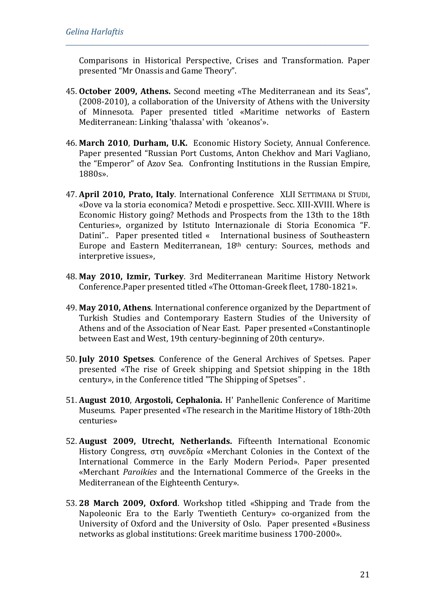Comparisons in Historical Perspective, Crises and Transformation. Paper presented "Mr Onassis and Game Theory".

- 45. **October 2009, Athens.** Second meeting «The Mediterranean and its Seas", (2008-2010), a collaboration of the University of Athens with the University of Minnesota. Paper presented titled «Maritime networks of Eastern Mediterranean: Linking 'thalassa' with 'okeanos'».
- 46. **March 2010**, **Durham, U.K.** Economic History Society, Αnnual Conference. Paper presented "Russian Port Customs, Anton Chekhov and Mari Vagliano, the "Emperor" of Azov Sea. Confronting Institutions in the Russian Empire, 1880s».
- 47. **April 2010, Prato, Italy**. International Conference XLII SETTIMANA DI STUDI, «Dove va la storia economica? Metodi e prospettive. Secc. XIII-XVIII. Where is Economic History going? Methods and Prospects from the 13th to the 18th Centuries», organized by Ιstituto Internazionale di Storia Economica "F. Datini".. Paper presented titled « International business of Southeastern Europe and Eastern Mediterranean, 18th century: Sources, methods and interpretive issues»,
- 48. **May 2010, Izmir, Turkey**. 3rd Mediterranean Maritime History Network Conference.Paper presented titled «The Ottoman-Greek fleet, 1780-1821».
- 49. **May 2010, Athens**. International conference organized by the Department of Turkish Studies and Contemporary Eastern Studies of the University of Athens and of the Association of Near East. Paper presented «Constantinople between East and West, 19th century-beginning of 20th century».
- 50. **July 2010 Spetses**. Conference of the General Archives of Spetses. Paper presented «The rise of Greek shipping and Spetsiot shipping in the 18th century», in the Conference titled "The Shipping of Spetses" .
- 51. **August 2010**, **Argostoli, Cephalonia.** Η' Panhellenic Conference of Maritime Museums. Paper presented «The research in the Maritime History of 18th-20th centuries»
- 52. **August 2009, Utrecht, Netherlands.** Fifteenth International Economic History Congress, στη συνεδρία «Merchant Colonies in the Context of the International Commerce in the Early Modern Period». Paper presented «Merchant *Paroikies* and the International Commerce of the Greeks in the Mediterranean of the Eighteenth Century».
- 53. **28 March 2009, Oxford**. Workshop titled «Shipping and Trade from the Napoleonic Era to the Early Twentieth Century» co-organized from the University of Oxford and the University of Oslo. Paper presented «Business networks as global institutions: Greek maritime business 1700-2000».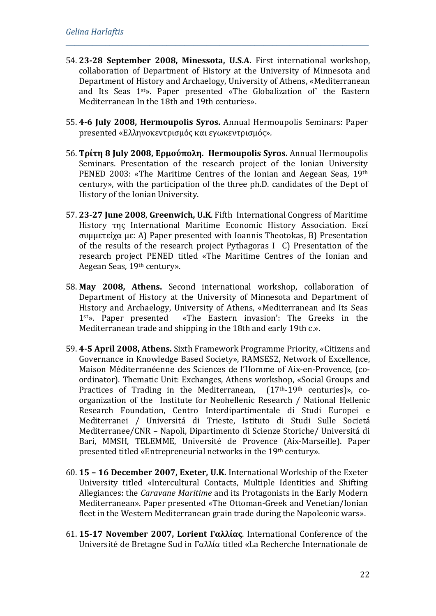54. **23-28 September 2008, Minessota, U.S.A.** First international workshop, collaboration of Department of History at the University of Minnesota and Department of History and Archaelogy, University of Athens, «Mediterranean and Its Seas 1st». Paper presented «The Globalization of` the Eastern Mediterranean In the 18th and 19th centuries».

- 55. **4-6 July 2008, Hermoupolis Syros.** Annual Hermoupolis Seminars: Paper presented «Ελληνοκεντρισμός και εγωκεντρισμός»*.*
- 56. **Τρίτη 8 July 2008, Ερμούπολη. Hermoupolis Syros.** Annual Hermoupolis Seminars. Presentation of the research project of the Ionian University PENED 2003: «The Maritime Centres of the Ionian and Aegean Seas, 19th century», with the participation of the three ph.D. candidates of the Dept of History of the Ionian University.
- 57. **23-27 June 2008**, **Greenwich, U.K**. Fifth International Congress of Maritime History της International Maritime Economic History Association. Εκεί συμμετείχα με: A) Paper presented with Ioannis Theotokas, B) Presentation of the results of the research project Pythagoras I C) Presentation of the research project PENED titled «The Maritime Centres of the Ionian and Aegean Seas, 19th century».
- 58. **May 2008, Athens.** Second international workshop, collaboration of Department of History at the University of Minnesota and Department of History and Archaelogy, University of Athens, «Mediterranean and Its Seas<br>1<sup>st</sup>». Paper presented «The Eastern invasion': The Greeks in the «The Eastern invasion': The Greeks in the Mediterranean trade and shipping in the 18th and early 19th c.».
- 59. **4-5 April 2008, Athens.** Sixth Framework Programme Priority, «Citizens and Governance in Knowledge Based Society», RAMSES2, Network of Excellence, Maison Méditerranéenne des Sciences de l'Homme of Aix-en-Provence, (coordinator). Thematic Unit: Exchanges, Athens workshop, «Social Groups and Practices of Trading in the Mediterranean. (17<sup>th</sup>-19<sup>th</sup> centuries)». co-Practices of Trading in the Mediterranean, organization of the Institute for Neohellenic Research / National Hellenic Research Foundation, Centro Interdipartimentale di Studi Europei e Mediterranei / Universitá di Trieste, Istituto di Studi Sulle Societá Mediterranee/CNR – Napoli, Dipartimento di Scienze Storiche/ Universitá di Bari, MMSH, TELEMME, Université de Provence (Aix-Marseille). Paper presented titled «Entrepreneurial networks in the 19th century».
- 60. **15 – 16 December 2007, Exeter, U.K.** International Workship of the Exeter University titled «Intercultural Contacts, Multiple Identities and Shifting Allegiances: the *Caravane Maritime* and its Protagonists in the Early Modern Mediterranean». Paper presented «Τhe Ottoman-Greek and Venetian/Ionian fleet in the Western Mediterranean grain trade during the Napoleonic wars».
- 61. **15-17 November 2007, Lorient Γαλλίας**. International Conference of the Université de Bretagne Sud in Γαλλία titled «La Recherche Internationale de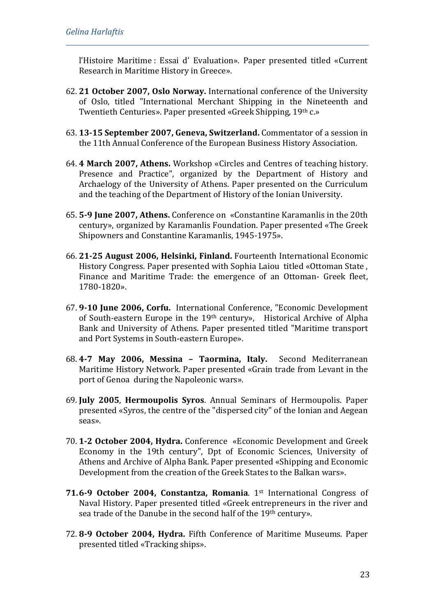l'Histoire Maritime : Essai d' Evaluation». Paper presented titled «Current Research in Maritime History in Greece».

- 62. **21 October 2007, Oslo Norway.** International conference of the University of Oslo, titled "International Merchant Shipping in the Nineteenth and Twentieth Centuries». Paper presented «Greek Shipping, 19th c.»
- 63. **13-15 September 2007, Geneva, Switzerland.** Commentator of a session in the 11th Annual Conference of the European Business History Association.
- 64. **4 March 2007, Athens.** Workshop «Circles and Centres of teaching history. Presence and Practice", organized by the Department of History and Archaelogy of the University of Athens. Paper presented on the Curriculum and the teaching of the Department of History of the Ionian University.
- 65. **5-9 June 2007, Athens.** Conference on «Constantine Karamanlis in the 20th century», organized by Karamanlis Foundation. Paper presented «The Greek Shipowners and Constantine Karamanlis, 1945-1975».
- 66. **21-25 August 2006, Helsinki, Finland.** Fourteenth International Economic History Congress. Paper presented with Sophia Laiou titled «Ottoman State , Finance and Maritime Trade: the emergence of an Ottoman- Greek fleet, 1780-1820».
- 67. **9-10 June 2006, Corfu.** International Conference, "Economic Development of South-eastern Europe in the 19th century», Historical Archive of Alpha Bank and University of Athens. Paper presented titled "Maritime transport and Port Systems in South-eastern Europe».
- 68. **4-7 May 2006, Messina – Taormina, Italy.** Second Mediterranean Maritime History Network. Paper presented «Grain trade from Levant in the port of Genoa during the Napoleonic wars».
- 69. **July 2005**, **Hermoupolis Syros**. Annual Seminars of Hermoupolis. Paper presented «Syros, the centre of the "dispersed city" of the Ionian and Aegean seas».
- 70. **1-2 October 2004, Hydra.** Conference «Economic Development and Greek Economy in the 19th century", Dpt of Economic Sciences, University of Athens and Archive of Alpha Bank. Paper presented «Shipping and Economic Development from the creation of the Greek States to the Balkan wars».
- **71.6-9 October 2004, Constantza, Romania**. 1st International Congress of Naval History. Paper presented titled «Greek entrepreneurs in the river and sea trade of the Danube in the second half of the 19th century».
- 72. **8-9 October 2004, Hydra.** Fifth Conference of Maritime Museums. Paper presented titled «Tracking ships».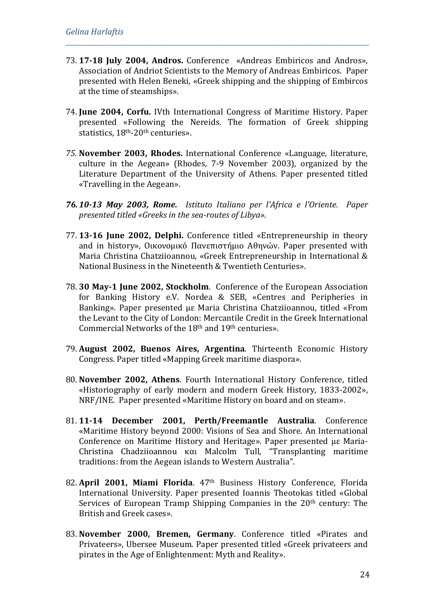73. **17-18 July 2004, Andros.** Conference «Andreas Embiricos and Andros», Association of Andriot Scientists to the Memory of Andreas Embiricos. Paper presented with Helen Beneki, «Greek shipping and the shipping of Embircos at the time of steamships».

- 74. **June 2004, Corfu.** IVth International Congress of Maritime History. Paper presented «Following the Nereids. The formation of Greek shipping statistics, 18th-20th centuries».
- *75.* **November 2003, Rhodes.** International Conference «Language, literature, culture in the Aegean» (Rhodes, 7-9 November 2003), organized by the Literature Department of the University of Athens*.* Paper presented titled «Travelling in the Aegean».
- *76.10-13 May 2003, Rome. Istituto Italiano per l'Africa e l'Oriente. Paper presented titled «Greeks in the sea-routes of Libya».*
- 77. **13-16 June 2002, Delphi.** Conference titled «Entrepreneurship in theory and in history», Οικονομικό Πανεπιστήμιο Αθηνών. Paper presented with Maria Christina Chatziioannou, «Greek Entrepreneurship in International & National Business in the Nineteenth & Twentieth Centuries».
- 78. **30 May-1 June 2002, Stockholm**. Conference of the European Association for Banking History e.V. Nordea & SEB, «Centres and Peripheries in Banking». Paper presented με Maria Christina Chatziioannou, titled «From the Levant to the City of London: Mercantile Credit in the Greek International Commercial Networks of the 18th and 19th centuries».
- 79. **August 2002, Buenos Aires, Argentina**. Τhirteenth Economic History Congress. Paper titled «Μapping Greek maritime diaspora».
- 80. **November 2002, Athens**. Fourth International History Conference, titled «Historiography of early modern and modern Greek History, 1833-2002», NRF/INE. Paper presented «Maritime History on board and on steam».
- 81. **11-14 December 2001, Perth/Freemantle Australia**. Conference «Μaritime History beyond 2000: Visions of Sea and Shore. An International Conference on Maritime History and Heritage». Paper presented με Maria-Christina Chadziioannou και Malcolm Tull, "Transplanting maritime traditions: from the Aegean islands to Western Australia".
- 82. **April 2001, Miami Florida**. 47th Business History Conference, Florida International University*.* Paper presented Ioannis Theotokas titled «Global Services of European Tramp Shipping Companies in the 20<sup>th</sup> century: The British and Greek cases».
- 83. **November 2000, Bremen, Germany**. Conference titled «Pirates and Privateers», Ubersee Museum. Paper presented titled «Greek privateers and pirates in the Age of Enlightenment: Myth and Reality».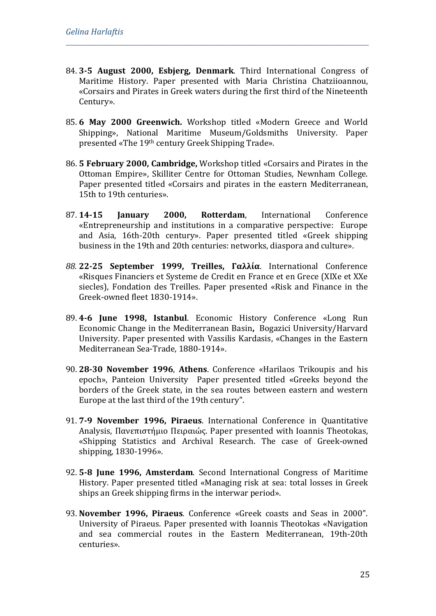84. **3-5 August 2000, Esbjerg, Denmark**. Third International Congress of Maritime History. Paper presented with Maria Christina Chatziioannou, «Corsairs and Pirates in Greek waters during the first third of the Nineteenth Century».

- 85. **6 May 2000 Greenwich.** Workshop titled «Modern Greece and World Shipping», National Maritime Museum/Goldsmiths University. Paper presented «The 19th century Greek Shipping Trade».
- 86. **5 February 2000, Cambridge,** Workshop titled «Corsairs and Pirates in the Ottoman Empire», Skilliter Centre for Ottoman Studies, Newnham College. Paper presented titled «Corsairs and pirates in the eastern Mediterranean, 15th to 19th centuries».
- 87. **14-15 January 2000, Rotterdam**, International Conference «Entrepreneurship and institutions in a comparative perspective: Europe and Asia, 16th-20th century». Paper presented titled «Greek shipping business in the 19th and 20th centuries: networks, diaspora and culture».
- *88.* **22-25 September 1999, Treilles, Γαλλία**. International Conference «Risques Financiers et Systeme de Credit en France et en Grece (XIXe et XXe siecles), Fondation des Treilles. Paper presented «Risk and Finance in the Greek-owned fleet 1830-1914».
- 89. **4-6 June 1998, Istanbul**. Economic History Conference «Long Run Economic Change in the Mediterranean Basin**,** Bogazici University/Harvard University. Paper presented with Vassilis Kardasis, «Changes in the Eastern Mediterranean Sea-Trade, 1880-1914».
- 90. **28-30 November 1996**, **Athens**. Conference «Harilaos Trikoupis and his epoch», Panteion University Paper presented titled «Greeks beyond the borders of the Greek state, in the sea routes between eastern and western Europe at the last third of the 19th century".
- 91. **7-9 November 1996, Piraeus**. International Conference in Quantitative Analysis, Πανεπιστήμιο Πειραιώς. Paper presented with Ioannis Theotokas, «Shipping Statistics and Archival Research. The case of Greek-owned shipping, 1830-1996».
- 92. **5-8 June 1996, Amsterdam**. Second International Congress οf Maritime History. Paper presented titled «Managing risk at sea: total losses in Greek ships an Greek shipping firms in the interwar period».
- 93. **November 1996, Piraeus**. Conference «Greek coasts and Seas in 2000". University of Piraeus. Paper presented with Ioannis Theotokas «Navigation and sea commercial routes in the Eastern Mediterranean, 19th-20th centuries».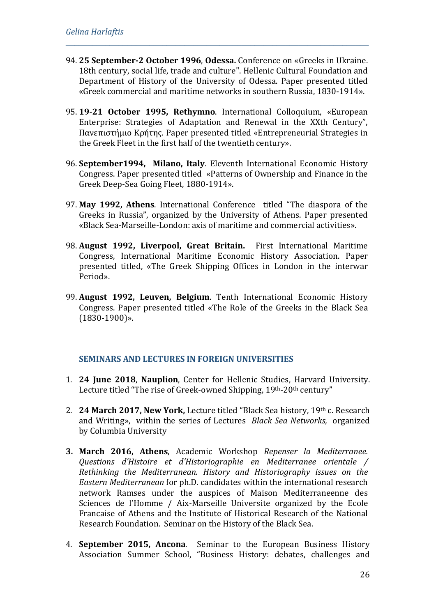94. **25 September-2 October 1996**, **Odessa.** Conference on «Greeks in Ukraine. 18th century, social life, trade and culture". Hellenic Cultural Foundation and Department of History of the University of Odessa. Paper presented titled «Greek commercial and maritime networks in southern Russia, 1830-1914».

*\_\_\_\_\_\_\_\_\_\_\_\_\_\_\_\_\_\_\_\_\_\_\_\_\_\_\_\_\_\_\_\_\_\_\_\_\_\_\_\_\_\_\_\_\_\_\_\_\_\_\_\_\_\_\_\_\_\_\_\_\_\_\_\_\_\_\_\_\_*

- 95. **19-21 October 1995, Rethymno**. International Colloquium, «European Enterprise: Strategies of Adaptation and Renewal in the XXth Century", Πανεπιστήμιο Κρήτης. Paper presented titled «Εntrepreneurial Strategies in the Greek Fleet in the first half of the twentieth century».
- 96. **September1994, Milano, Italy**. Eleventh International Economic History Congress. Paper presented titled «Patterns of Ownership and Finance in the Greek Deep-Sea Going Fleet, 1880-1914».
- 97. **May 1992, Athens**. International Conference titled "The diaspora of the Greeks in Russia", organized by the University of Athens. Paper presented «Black Sea-Marseille-London: axis of maritime and commercial activities».
- 98. **August 1992, Liverpool, Great Britain.** First International Maritime Congress, International Maritime Economic History Association. Paper presented titled, «The Greek Shipping Offices in London in the interwar Period».
- 99. **August 1992, Leuven, Belgium**. Τenth International Economic History Congress. Paper presented titled «Τhe Role of the Greeks in the Black Sea (1830-1900)».

#### **SEMINARS AND LECTURES IN FOREIGN UNIVERSITIES**

- 1. **24 June 2018**, **Nauplion**, Center for Hellenic Studies, Harvard University. Lecture titled "The rise of Greek-owned Shipping, 19th-20th century"
- 2. **24 March 2017, New York,** Lecture titled "Black Sea history, 19th с. Research and Writing», within the series of Lectures *Black Sea Networks,* organized by Columbia University
- **3. March 2016, Athens**, Academic Workshop *Repenser la Mediterranee. Questions d'Histoire et d'Historiographie en Mediterranee orientale / Rethinking the Mediterranean. History and Historiography issues on the Eastern Mediterranean* for ph.D. candidates within the international research network Ramses under the auspices of Maison Mediterraneenne des Sciences de l'Homme / Aix-Marseille Universite organized by the Ecole Francaise of Athens and the Institute of Historical Research of the National Research Foundation. Seminar on the History of the Black Sea.
- 4. **September 2015, Ancona**. Seminar to the European Business History Association Summer School, "Business History: debates, challenges and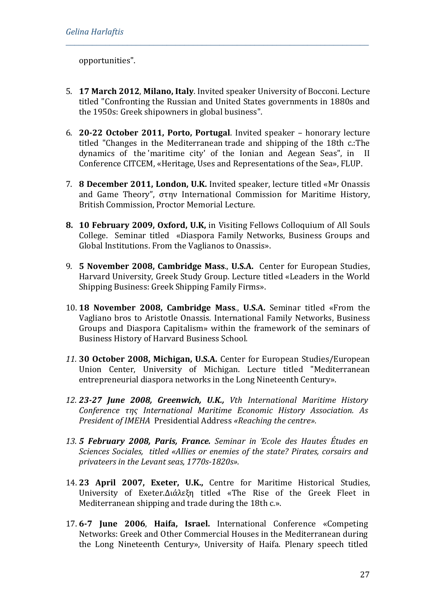opportunities".

5. **17 March 2012**, **Milano, Italy**. Invited speaker University of Bocconi. Lecture titled "Confronting the Russian and United States governments in 1880s and the 1950s: Greek shipowners in global business".

- 6. **20-22 October 2011, Porto, Portugal**. Invited speaker honorary lecture titled "Changes in the Mediterranean trade and shipping of the 18th c.:The dynamics of the 'maritime city' of the Ionian and Aegean Seas", in II Conference CITCEM, «Heritage, Uses and Representations of the Sea», FLUP.
- 7. **8 December 2011, London, U.K.** Invited speaker, lecture titled «Μr Onassis and Game Theory", στην International Commission for Maritime History, British Commission, Proctor Memorial Lecture.
- **8. 10 February 2009, Oxford, U.K,** in Visiting Fellows Colloquium of All Souls College. Seminar titled «Diaspora Family Networks, Business Groups and Global Institutions. From the Vaglianos to Onassis».
- 9. **5 November 2008, Cambridge Mass**., **U.S.A.** Center for European Studies, Harvard University, Greek Study Group. Lecture titled «Leaders in the World Shipping Business: Greek Shipping Family Firms».
- 10. **18 November 2008, Cambridge Mass**., **U.S.A.** Seminar titled «From the Vagliano bros to Aristotle Onassis. International Family Networks, Business Groups and Diaspora Capitalism» within the framework of the seminars of Business History of Harvard Business School.
- *11.* **30 October 2008, Μichigan, U.S.A.** Center for European Studies/European Union Center, University of Michigan. Lecture titled "Mediterranean entrepreneurial diaspora networks in the Long Nineteenth Century».
- *12. 23-27 June 2008, Greenwich, U.K., Vth International Maritime History Conference της Ιnternational Maritime Economic History Association. As President of ΙΜΕΗΑ* Presidential Address *«Reaching the centre».*
- *13. 5 February 2008, Paris, France. Seminar in Έcole des Hautes Études en Sciences Sociales, titled «Allies or enemies of the state? Pirates, corsairs and privateers in the Levant seas, 1770s-1820s».*
- 14. **23 April 2007, Exeter, U.K.,** Centre for Maritime Historical Studies, University of Exeter.Διάλεξη titled «The Rise of the Greek Fleet in Mediterranean shipping and trade during the 18th c.».
- 17. **6-7 June 2006**, **Haifa, Israel.** International Conference «Competing Networks: Greek and Other Commercial Houses in the Mediterranean during the Long Nineteenth Century», University of Haifa. Plenary speech titled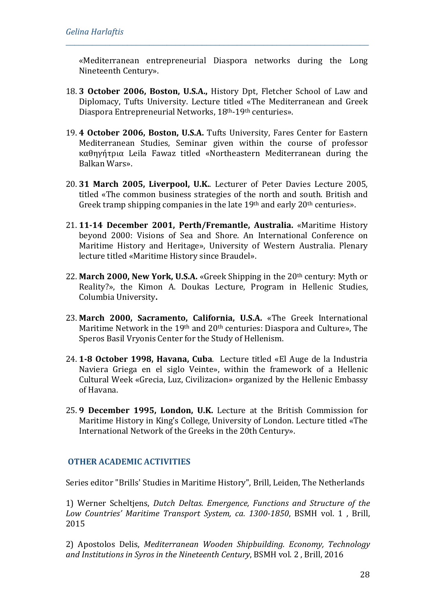«Mediterranean entrepreneurial Diaspora networks during the Long Nineteenth Century».

*\_\_\_\_\_\_\_\_\_\_\_\_\_\_\_\_\_\_\_\_\_\_\_\_\_\_\_\_\_\_\_\_\_\_\_\_\_\_\_\_\_\_\_\_\_\_\_\_\_\_\_\_\_\_\_\_\_\_\_\_\_\_\_\_\_\_\_\_\_*

- 18. **3 October 2006, Boston, U.S.A.,** History Dpt, Fletcher School of Law and Diplomacy, Tufts University. Lecture titled «The Mediterranean and Greek Diaspora Entrepreneurial Networks, 18th-19th centuries».
- 19. **4 October 2006, Boston, U.S.A.** Tufts University, Fares Center for Eastern Mediterranean Studies, Seminar given within the course of professor καθηγήτρια Leila Fawaz titled «Northeastern Mediterranean during the Balkan Wars».
- 20. **31 March 2005, Liverpool, U.K.**. Lecturer of Peter Davies Lecture 2005, titled «The common business strategies of the north and south. Βritish and Greek tramp shipping companies in the late 19<sup>th</sup> and early 20<sup>th</sup> centuries».
- 21. **11-14 December 2001, Perth/Fremantle, Australia.** «Maritime History beyond 2000: Visions of Sea and Shore. An International Conference on Maritime History and Heritage», University of Western Australia. Plenary lecture titled «Maritime History since Braudel».
- 22. **March 2000, New York, U.S.A.** «Greek Shipping in the 20th century: Myth or Reality?», the Kimon Α. Doukas Lecture, Program in Hellenic Studies, Columbia University**.**
- 23. **March 2000, Sacramento, California, U.S.A.** «The Greek International Maritime Network in the 19<sup>th</sup> and 20<sup>th</sup> centuries: Diaspora and Culture», The Speros Basil Vryonis Center for the Study of Hellenism.
- 24. **1-8 October 1998, Havana, Cuba**.Lecture titled «El Auge de la Industria Naviera Griega en el siglo Veinte», within the framework of a Hellenic Cultural Week «Grecia, Luz, Civilizacion» organized by the Hellenic Embassy of Havana.
- 25. **9 December 1995, London, U.K.** Lecture at the British Commission for Maritime History in Κing's College, University of London. Lecture titled «Τhe International Network of the Greeks in the 20th Century».

### **OTHER ACADEMIC ACTIVITIES**

Series editor "Brills' Studies in Maritime History", Brill, Leiden, The Netherlands

1) Werner Scheltjens, *Dutch Deltas. Emergence, Functions and Structure of the Low Countries' Maritime Transport System, ca. 1300-1850*, BSMH vol. 1 , Brill, 2015

2) [Apostolos Delis,](https://brill.com/search?f_0=author&q_0=Apostolos+Delis) *[Mediterranean Wooden Shipbuilding.](https://brill.com/abstract/title/31874) Economy, Technology and Institutions in Syros in the Nineteenth Century*, BSMH vol. 2 , Brill, 2016